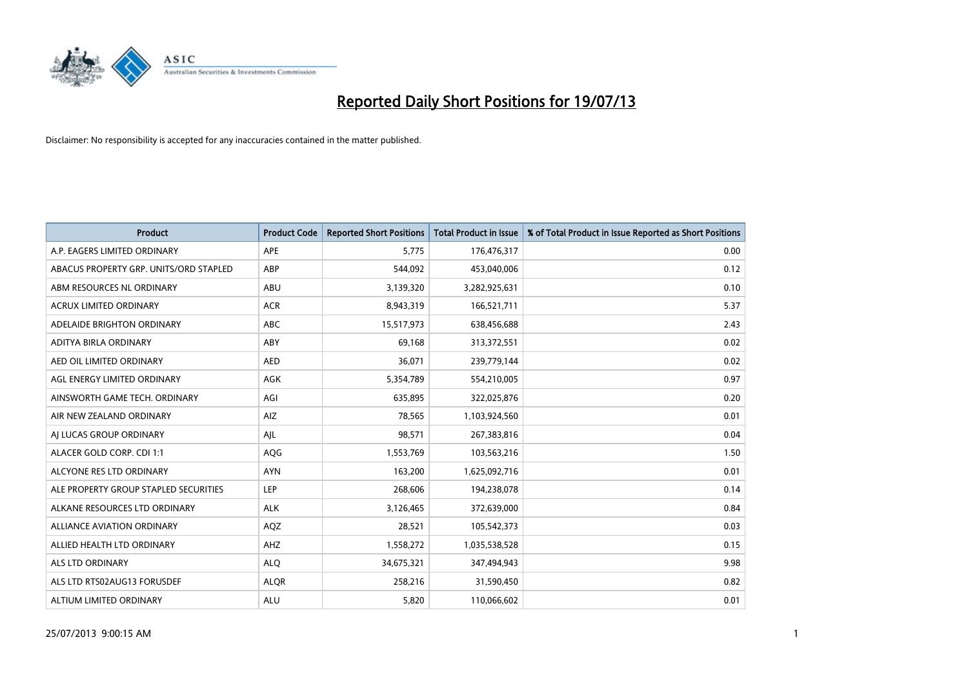

| <b>Product</b>                         | <b>Product Code</b> | <b>Reported Short Positions</b> | <b>Total Product in Issue</b> | % of Total Product in Issue Reported as Short Positions |
|----------------------------------------|---------------------|---------------------------------|-------------------------------|---------------------------------------------------------|
| A.P. EAGERS LIMITED ORDINARY           | APE                 | 5,775                           | 176,476,317                   | 0.00                                                    |
| ABACUS PROPERTY GRP. UNITS/ORD STAPLED | ABP                 | 544,092                         | 453,040,006                   | 0.12                                                    |
| ABM RESOURCES NL ORDINARY              | ABU                 | 3,139,320                       | 3,282,925,631                 | 0.10                                                    |
| ACRUX LIMITED ORDINARY                 | <b>ACR</b>          | 8,943,319                       | 166,521,711                   | 5.37                                                    |
| ADELAIDE BRIGHTON ORDINARY             | <b>ABC</b>          | 15,517,973                      | 638,456,688                   | 2.43                                                    |
| ADITYA BIRLA ORDINARY                  | ABY                 | 69,168                          | 313,372,551                   | 0.02                                                    |
| AED OIL LIMITED ORDINARY               | <b>AED</b>          | 36,071                          | 239,779,144                   | 0.02                                                    |
| AGL ENERGY LIMITED ORDINARY            | AGK                 | 5,354,789                       | 554,210,005                   | 0.97                                                    |
| AINSWORTH GAME TECH. ORDINARY          | AGI                 | 635,895                         | 322,025,876                   | 0.20                                                    |
| AIR NEW ZEALAND ORDINARY               | <b>AIZ</b>          | 78,565                          | 1,103,924,560                 | 0.01                                                    |
| AI LUCAS GROUP ORDINARY                | AJL                 | 98,571                          | 267,383,816                   | 0.04                                                    |
| ALACER GOLD CORP. CDI 1:1              | AQG                 | 1,553,769                       | 103,563,216                   | 1.50                                                    |
| ALCYONE RES LTD ORDINARY               | <b>AYN</b>          | 163,200                         | 1,625,092,716                 | 0.01                                                    |
| ALE PROPERTY GROUP STAPLED SECURITIES  | LEP                 | 268,606                         | 194,238,078                   | 0.14                                                    |
| ALKANE RESOURCES LTD ORDINARY          | <b>ALK</b>          | 3,126,465                       | 372,639,000                   | 0.84                                                    |
| ALLIANCE AVIATION ORDINARY             | AQZ                 | 28,521                          | 105,542,373                   | 0.03                                                    |
| ALLIED HEALTH LTD ORDINARY             | AHZ                 | 1,558,272                       | 1,035,538,528                 | 0.15                                                    |
| <b>ALS LTD ORDINARY</b>                | <b>ALQ</b>          | 34,675,321                      | 347,494,943                   | 9.98                                                    |
| ALS LTD RTS02AUG13 FORUSDEF            | <b>ALOR</b>         | 258,216                         | 31,590,450                    | 0.82                                                    |
| ALTIUM LIMITED ORDINARY                | <b>ALU</b>          | 5,820                           | 110,066,602                   | 0.01                                                    |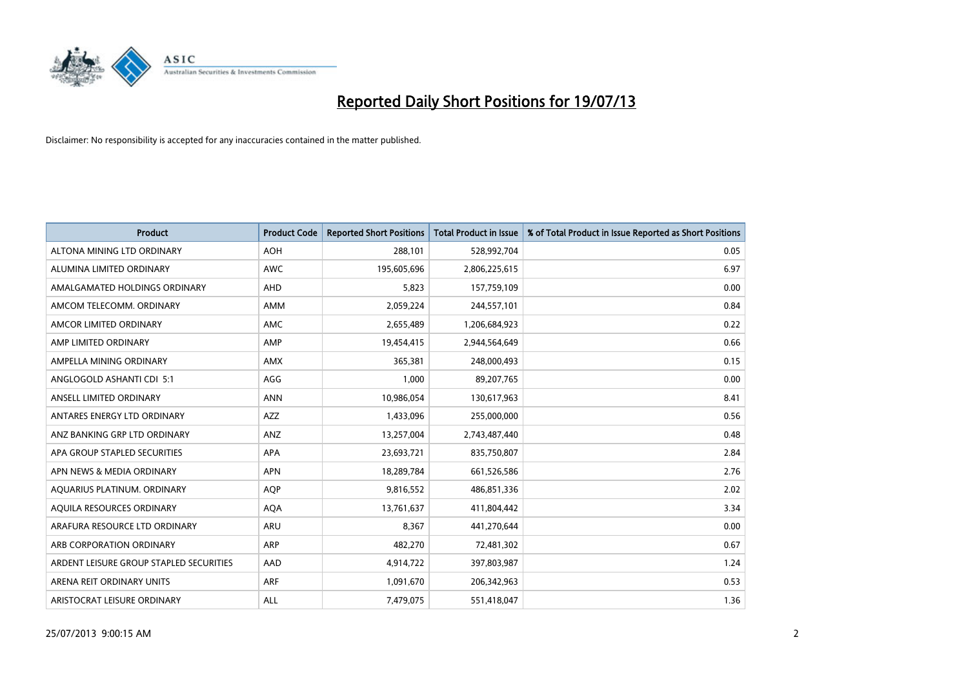

| <b>Product</b>                          | <b>Product Code</b> | <b>Reported Short Positions</b> | <b>Total Product in Issue</b> | % of Total Product in Issue Reported as Short Positions |
|-----------------------------------------|---------------------|---------------------------------|-------------------------------|---------------------------------------------------------|
| ALTONA MINING LTD ORDINARY              | <b>AOH</b>          | 288,101                         | 528,992,704                   | 0.05                                                    |
| ALUMINA LIMITED ORDINARY                | AWC                 | 195,605,696                     | 2,806,225,615                 | 6.97                                                    |
| AMALGAMATED HOLDINGS ORDINARY           | AHD                 | 5,823                           | 157,759,109                   | 0.00                                                    |
| AMCOM TELECOMM. ORDINARY                | AMM                 | 2,059,224                       | 244,557,101                   | 0.84                                                    |
| AMCOR LIMITED ORDINARY                  | AMC                 | 2,655,489                       | 1,206,684,923                 | 0.22                                                    |
| AMP LIMITED ORDINARY                    | AMP                 | 19,454,415                      | 2,944,564,649                 | 0.66                                                    |
| AMPELLA MINING ORDINARY                 | <b>AMX</b>          | 365,381                         | 248,000,493                   | 0.15                                                    |
| ANGLOGOLD ASHANTI CDI 5:1               | AGG                 | 1,000                           | 89,207,765                    | 0.00                                                    |
| ANSELL LIMITED ORDINARY                 | <b>ANN</b>          | 10,986,054                      | 130,617,963                   | 8.41                                                    |
| ANTARES ENERGY LTD ORDINARY             | <b>AZZ</b>          | 1,433,096                       | 255,000,000                   | 0.56                                                    |
| ANZ BANKING GRP LTD ORDINARY            | ANZ                 | 13,257,004                      | 2,743,487,440                 | 0.48                                                    |
| APA GROUP STAPLED SECURITIES            | APA                 | 23,693,721                      | 835,750,807                   | 2.84                                                    |
| APN NEWS & MEDIA ORDINARY               | <b>APN</b>          | 18,289,784                      | 661,526,586                   | 2.76                                                    |
| AQUARIUS PLATINUM. ORDINARY             | <b>AOP</b>          | 9,816,552                       | 486,851,336                   | 2.02                                                    |
| AQUILA RESOURCES ORDINARY               | <b>AQA</b>          | 13,761,637                      | 411,804,442                   | 3.34                                                    |
| ARAFURA RESOURCE LTD ORDINARY           | ARU                 | 8,367                           | 441,270,644                   | 0.00                                                    |
| ARB CORPORATION ORDINARY                | <b>ARP</b>          | 482,270                         | 72,481,302                    | 0.67                                                    |
| ARDENT LEISURE GROUP STAPLED SECURITIES | AAD                 | 4,914,722                       | 397,803,987                   | 1.24                                                    |
| ARENA REIT ORDINARY UNITS               | ARF                 | 1,091,670                       | 206,342,963                   | 0.53                                                    |
| ARISTOCRAT LEISURE ORDINARY             | ALL                 | 7,479,075                       | 551,418,047                   | 1.36                                                    |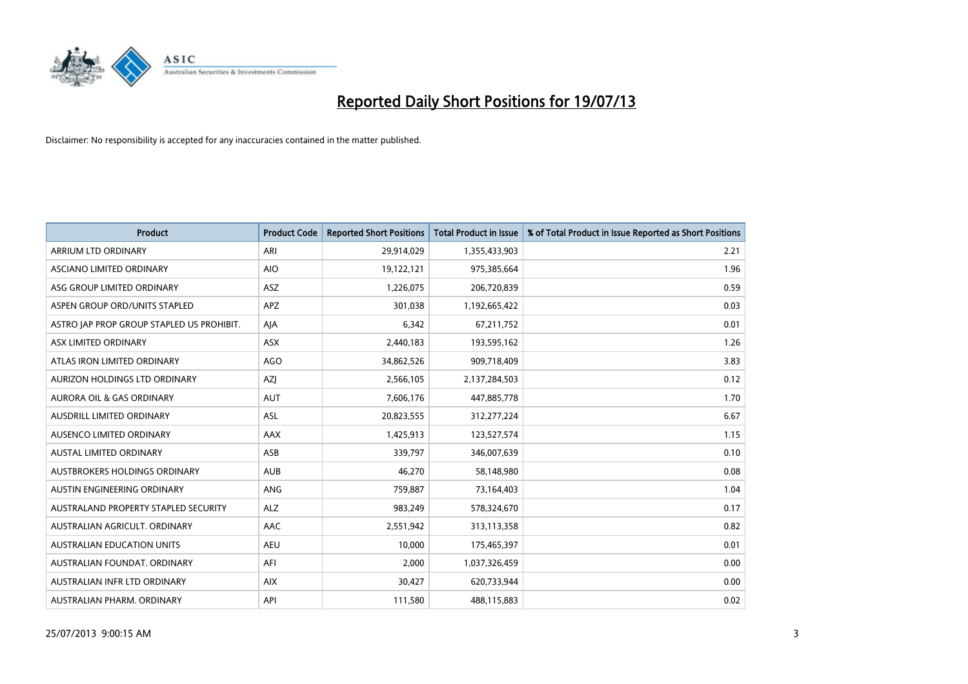

| <b>Product</b>                            | <b>Product Code</b> | <b>Reported Short Positions</b> | <b>Total Product in Issue</b> | % of Total Product in Issue Reported as Short Positions |
|-------------------------------------------|---------------------|---------------------------------|-------------------------------|---------------------------------------------------------|
| ARRIUM LTD ORDINARY                       | ARI                 | 29,914,029                      | 1,355,433,903                 | 2.21                                                    |
| ASCIANO LIMITED ORDINARY                  | <b>AIO</b>          | 19,122,121                      | 975,385,664                   | 1.96                                                    |
| ASG GROUP LIMITED ORDINARY                | ASZ                 | 1,226,075                       | 206,720,839                   | 0.59                                                    |
| ASPEN GROUP ORD/UNITS STAPLED             | <b>APZ</b>          | 301,038                         | 1,192,665,422                 | 0.03                                                    |
| ASTRO JAP PROP GROUP STAPLED US PROHIBIT. | AJA                 | 6,342                           | 67,211,752                    | 0.01                                                    |
| ASX LIMITED ORDINARY                      | ASX                 | 2,440,183                       | 193,595,162                   | 1.26                                                    |
| ATLAS IRON LIMITED ORDINARY               | <b>AGO</b>          | 34,862,526                      | 909,718,409                   | 3.83                                                    |
| AURIZON HOLDINGS LTD ORDINARY             | AZJ                 | 2,566,105                       | 2,137,284,503                 | 0.12                                                    |
| <b>AURORA OIL &amp; GAS ORDINARY</b>      | <b>AUT</b>          | 7,606,176                       | 447,885,778                   | 1.70                                                    |
| AUSDRILL LIMITED ORDINARY                 | <b>ASL</b>          | 20,823,555                      | 312,277,224                   | 6.67                                                    |
| AUSENCO LIMITED ORDINARY                  | AAX                 | 1,425,913                       | 123,527,574                   | 1.15                                                    |
| <b>AUSTAL LIMITED ORDINARY</b>            | ASB                 | 339,797                         | 346,007,639                   | 0.10                                                    |
| <b>AUSTBROKERS HOLDINGS ORDINARY</b>      | <b>AUB</b>          | 46,270                          | 58,148,980                    | 0.08                                                    |
| AUSTIN ENGINEERING ORDINARY               | ANG                 | 759,887                         | 73,164,403                    | 1.04                                                    |
| AUSTRALAND PROPERTY STAPLED SECURITY      | <b>ALZ</b>          | 983,249                         | 578,324,670                   | 0.17                                                    |
| AUSTRALIAN AGRICULT. ORDINARY             | AAC                 | 2,551,942                       | 313,113,358                   | 0.82                                                    |
| <b>AUSTRALIAN EDUCATION UNITS</b>         | <b>AEU</b>          | 10,000                          | 175,465,397                   | 0.01                                                    |
| AUSTRALIAN FOUNDAT, ORDINARY              | AFI                 | 2,000                           | 1,037,326,459                 | 0.00                                                    |
| AUSTRALIAN INFR LTD ORDINARY              | <b>AIX</b>          | 30,427                          | 620,733,944                   | 0.00                                                    |
| AUSTRALIAN PHARM. ORDINARY                | API                 | 111,580                         | 488,115,883                   | 0.02                                                    |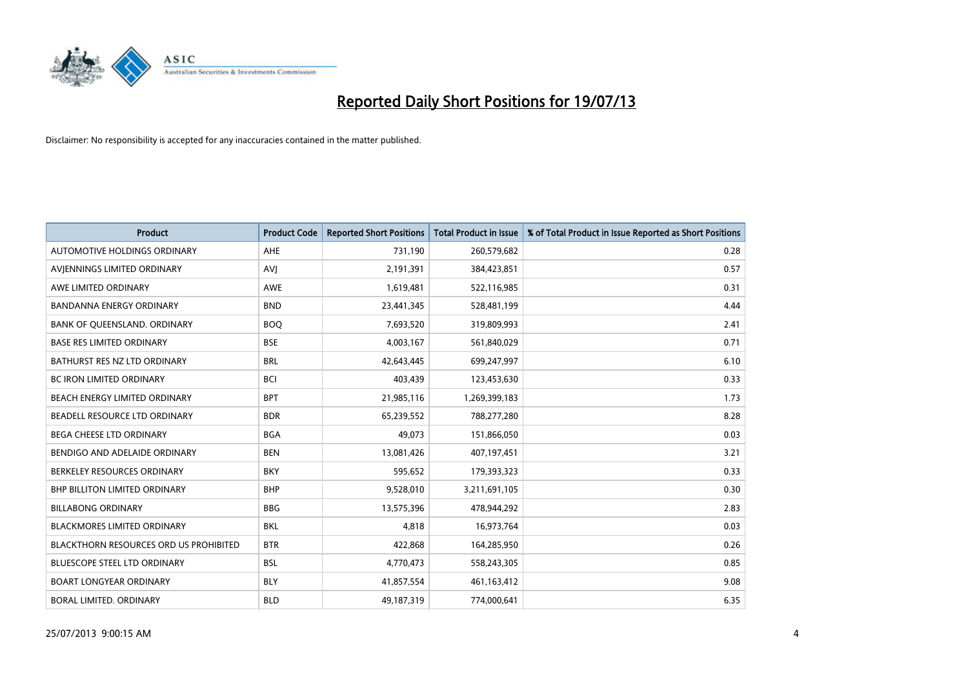

| <b>Product</b>                         | <b>Product Code</b> | <b>Reported Short Positions</b> | <b>Total Product in Issue</b> | % of Total Product in Issue Reported as Short Positions |
|----------------------------------------|---------------------|---------------------------------|-------------------------------|---------------------------------------------------------|
| AUTOMOTIVE HOLDINGS ORDINARY           | AHE                 | 731,190                         | 260,579,682                   | 0.28                                                    |
| AVIENNINGS LIMITED ORDINARY            | <b>AVJ</b>          | 2,191,391                       | 384,423,851                   | 0.57                                                    |
| AWE LIMITED ORDINARY                   | AWE                 | 1,619,481                       | 522,116,985                   | 0.31                                                    |
| <b>BANDANNA ENERGY ORDINARY</b>        | <b>BND</b>          | 23,441,345                      | 528,481,199                   | 4.44                                                    |
| BANK OF QUEENSLAND. ORDINARY           | <b>BOO</b>          | 7,693,520                       | 319,809,993                   | 2.41                                                    |
| <b>BASE RES LIMITED ORDINARY</b>       | <b>BSE</b>          | 4,003,167                       | 561,840,029                   | 0.71                                                    |
| BATHURST RES NZ LTD ORDINARY           | <b>BRL</b>          | 42,643,445                      | 699,247,997                   | 6.10                                                    |
| BC IRON LIMITED ORDINARY               | <b>BCI</b>          | 403,439                         | 123,453,630                   | 0.33                                                    |
| BEACH ENERGY LIMITED ORDINARY          | <b>BPT</b>          | 21,985,116                      | 1,269,399,183                 | 1.73                                                    |
| BEADELL RESOURCE LTD ORDINARY          | <b>BDR</b>          | 65,239,552                      | 788,277,280                   | 8.28                                                    |
| BEGA CHEESE LTD ORDINARY               | BGA                 | 49,073                          | 151,866,050                   | 0.03                                                    |
| BENDIGO AND ADELAIDE ORDINARY          | <b>BEN</b>          | 13,081,426                      | 407,197,451                   | 3.21                                                    |
| BERKELEY RESOURCES ORDINARY            | <b>BKY</b>          | 595,652                         | 179,393,323                   | 0.33                                                    |
| <b>BHP BILLITON LIMITED ORDINARY</b>   | <b>BHP</b>          | 9,528,010                       | 3,211,691,105                 | 0.30                                                    |
| <b>BILLABONG ORDINARY</b>              | <b>BBG</b>          | 13,575,396                      | 478,944,292                   | 2.83                                                    |
| <b>BLACKMORES LIMITED ORDINARY</b>     | <b>BKL</b>          | 4,818                           | 16,973,764                    | 0.03                                                    |
| BLACKTHORN RESOURCES ORD US PROHIBITED | <b>BTR</b>          | 422,868                         | 164,285,950                   | 0.26                                                    |
| BLUESCOPE STEEL LTD ORDINARY           | <b>BSL</b>          | 4,770,473                       | 558,243,305                   | 0.85                                                    |
| <b>BOART LONGYEAR ORDINARY</b>         | <b>BLY</b>          | 41,857,554                      | 461,163,412                   | 9.08                                                    |
| <b>BORAL LIMITED, ORDINARY</b>         | <b>BLD</b>          | 49,187,319                      | 774,000,641                   | 6.35                                                    |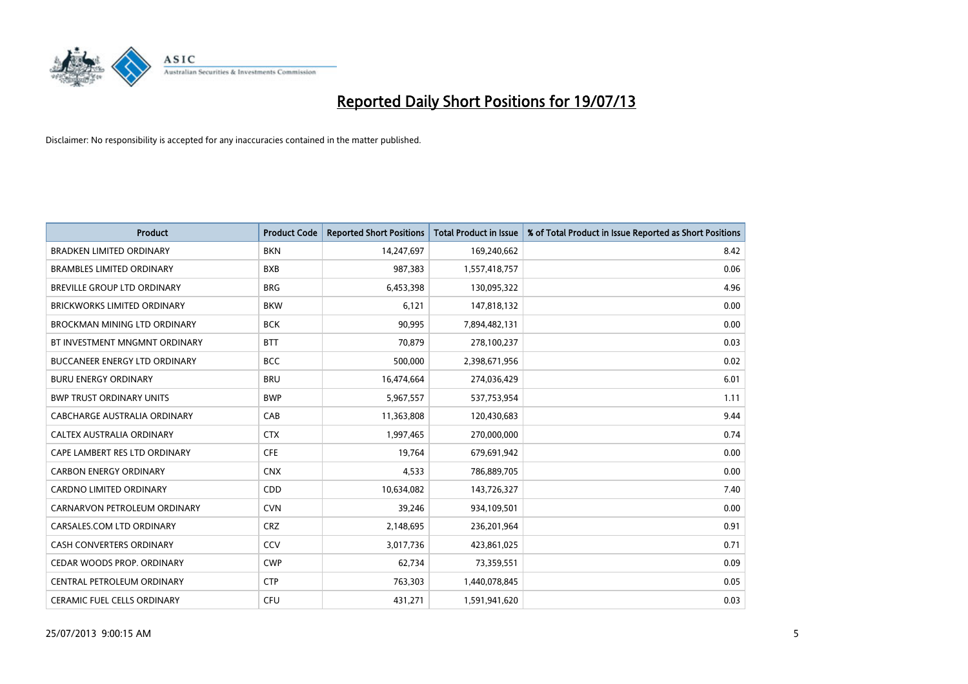

| <b>Product</b>                       | <b>Product Code</b> | <b>Reported Short Positions</b> | <b>Total Product in Issue</b> | % of Total Product in Issue Reported as Short Positions |
|--------------------------------------|---------------------|---------------------------------|-------------------------------|---------------------------------------------------------|
| <b>BRADKEN LIMITED ORDINARY</b>      | <b>BKN</b>          | 14,247,697                      | 169,240,662                   | 8.42                                                    |
| <b>BRAMBLES LIMITED ORDINARY</b>     | <b>BXB</b>          | 987,383                         | 1,557,418,757                 | 0.06                                                    |
| BREVILLE GROUP LTD ORDINARY          | <b>BRG</b>          | 6,453,398                       | 130,095,322                   | 4.96                                                    |
| <b>BRICKWORKS LIMITED ORDINARY</b>   | <b>BKW</b>          | 6,121                           | 147,818,132                   | 0.00                                                    |
| <b>BROCKMAN MINING LTD ORDINARY</b>  | <b>BCK</b>          | 90,995                          | 7,894,482,131                 | 0.00                                                    |
| BT INVESTMENT MNGMNT ORDINARY        | <b>BTT</b>          | 70,879                          | 278,100,237                   | 0.03                                                    |
| <b>BUCCANEER ENERGY LTD ORDINARY</b> | <b>BCC</b>          | 500,000                         | 2,398,671,956                 | 0.02                                                    |
| <b>BURU ENERGY ORDINARY</b>          | <b>BRU</b>          | 16,474,664                      | 274,036,429                   | 6.01                                                    |
| <b>BWP TRUST ORDINARY UNITS</b>      | <b>BWP</b>          | 5,967,557                       | 537,753,954                   | 1.11                                                    |
| CABCHARGE AUSTRALIA ORDINARY         | CAB                 | 11,363,808                      | 120,430,683                   | 9.44                                                    |
| CALTEX AUSTRALIA ORDINARY            | <b>CTX</b>          | 1,997,465                       | 270,000,000                   | 0.74                                                    |
| CAPE LAMBERT RES LTD ORDINARY        | <b>CFE</b>          | 19,764                          | 679,691,942                   | 0.00                                                    |
| <b>CARBON ENERGY ORDINARY</b>        | <b>CNX</b>          | 4,533                           | 786,889,705                   | 0.00                                                    |
| <b>CARDNO LIMITED ORDINARY</b>       | CDD                 | 10,634,082                      | 143,726,327                   | 7.40                                                    |
| CARNARVON PETROLEUM ORDINARY         | <b>CVN</b>          | 39,246                          | 934,109,501                   | 0.00                                                    |
| CARSALES.COM LTD ORDINARY            | <b>CRZ</b>          | 2,148,695                       | 236,201,964                   | 0.91                                                    |
| CASH CONVERTERS ORDINARY             | CCV                 | 3,017,736                       | 423,861,025                   | 0.71                                                    |
| CEDAR WOODS PROP. ORDINARY           | <b>CWP</b>          | 62,734                          | 73,359,551                    | 0.09                                                    |
| CENTRAL PETROLEUM ORDINARY           | <b>CTP</b>          | 763,303                         | 1,440,078,845                 | 0.05                                                    |
| CERAMIC FUEL CELLS ORDINARY          | <b>CFU</b>          | 431,271                         | 1,591,941,620                 | 0.03                                                    |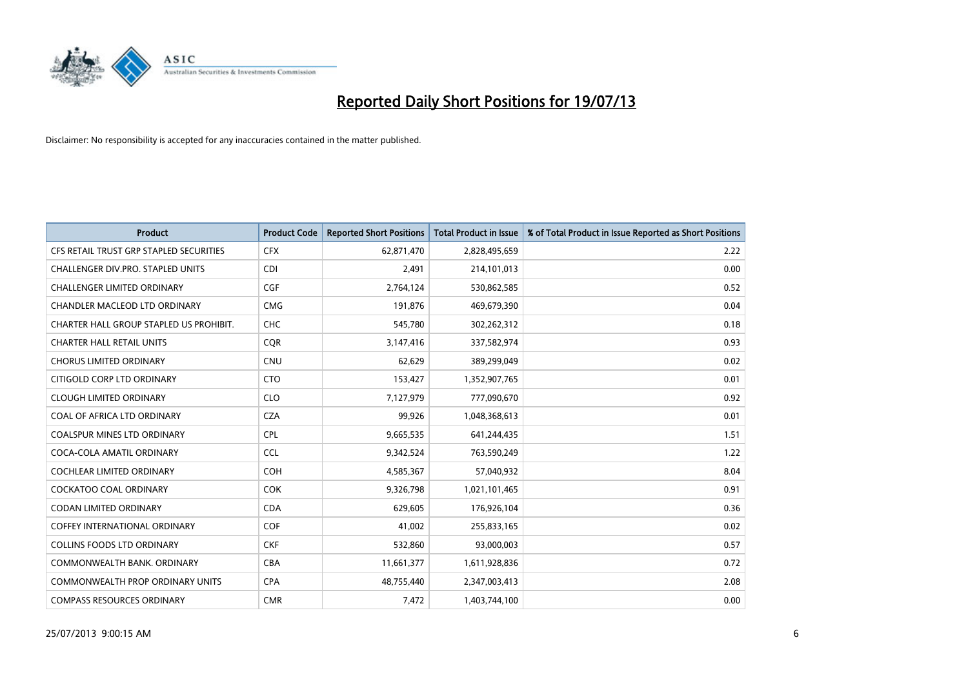

| <b>Product</b>                          | <b>Product Code</b> | <b>Reported Short Positions</b> | <b>Total Product in Issue</b> | % of Total Product in Issue Reported as Short Positions |
|-----------------------------------------|---------------------|---------------------------------|-------------------------------|---------------------------------------------------------|
| CFS RETAIL TRUST GRP STAPLED SECURITIES | <b>CFX</b>          | 62,871,470                      | 2,828,495,659                 | 2.22                                                    |
| CHALLENGER DIV.PRO. STAPLED UNITS       | <b>CDI</b>          | 2,491                           | 214,101,013                   | 0.00                                                    |
| <b>CHALLENGER LIMITED ORDINARY</b>      | <b>CGF</b>          | 2,764,124                       | 530,862,585                   | 0.52                                                    |
| CHANDLER MACLEOD LTD ORDINARY           | <b>CMG</b>          | 191,876                         | 469,679,390                   | 0.04                                                    |
| CHARTER HALL GROUP STAPLED US PROHIBIT. | <b>CHC</b>          | 545,780                         | 302,262,312                   | 0.18                                                    |
| <b>CHARTER HALL RETAIL UNITS</b>        | CQR                 | 3,147,416                       | 337,582,974                   | 0.93                                                    |
| <b>CHORUS LIMITED ORDINARY</b>          | <b>CNU</b>          | 62,629                          | 389,299,049                   | 0.02                                                    |
| CITIGOLD CORP LTD ORDINARY              | <b>CTO</b>          | 153,427                         | 1,352,907,765                 | 0.01                                                    |
| <b>CLOUGH LIMITED ORDINARY</b>          | <b>CLO</b>          | 7,127,979                       | 777,090,670                   | 0.92                                                    |
| COAL OF AFRICA LTD ORDINARY             | <b>CZA</b>          | 99,926                          | 1,048,368,613                 | 0.01                                                    |
| COALSPUR MINES LTD ORDINARY             | <b>CPL</b>          | 9,665,535                       | 641,244,435                   | 1.51                                                    |
| COCA-COLA AMATIL ORDINARY               | <b>CCL</b>          | 9,342,524                       | 763,590,249                   | 1.22                                                    |
| COCHLEAR LIMITED ORDINARY               | <b>COH</b>          | 4,585,367                       | 57,040,932                    | 8.04                                                    |
| <b>COCKATOO COAL ORDINARY</b>           | <b>COK</b>          | 9,326,798                       | 1,021,101,465                 | 0.91                                                    |
| <b>CODAN LIMITED ORDINARY</b>           | <b>CDA</b>          | 629,605                         | 176,926,104                   | 0.36                                                    |
| <b>COFFEY INTERNATIONAL ORDINARY</b>    | <b>COF</b>          | 41,002                          | 255,833,165                   | 0.02                                                    |
| <b>COLLINS FOODS LTD ORDINARY</b>       | <b>CKF</b>          | 532,860                         | 93,000,003                    | 0.57                                                    |
| COMMONWEALTH BANK, ORDINARY             | <b>CBA</b>          | 11,661,377                      | 1,611,928,836                 | 0.72                                                    |
| <b>COMMONWEALTH PROP ORDINARY UNITS</b> | <b>CPA</b>          | 48,755,440                      | 2,347,003,413                 | 2.08                                                    |
| <b>COMPASS RESOURCES ORDINARY</b>       | <b>CMR</b>          | 7,472                           | 1,403,744,100                 | 0.00                                                    |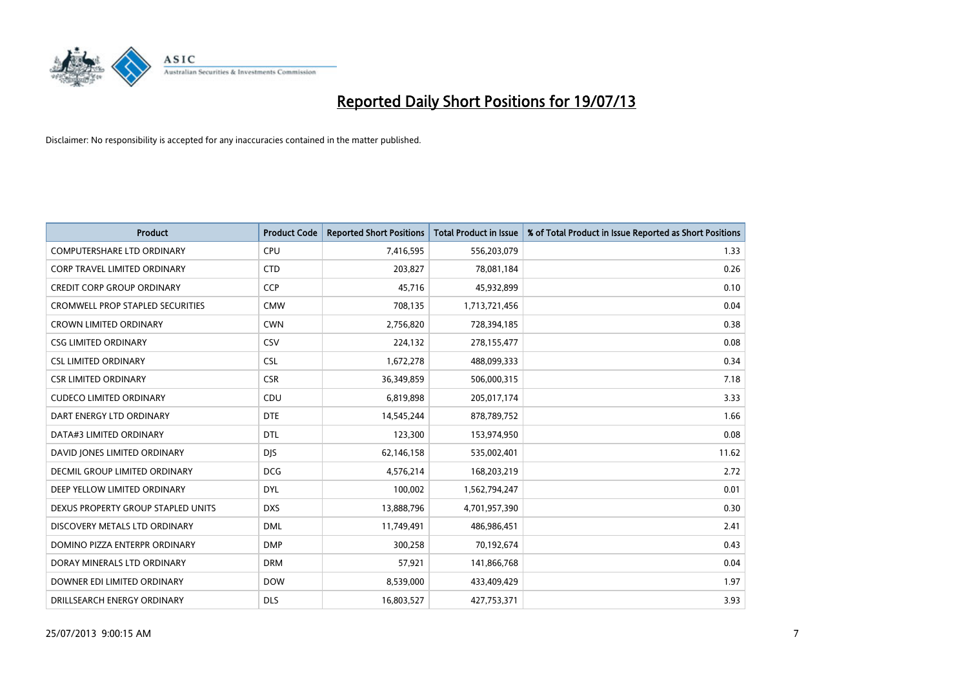

| <b>Product</b>                          | <b>Product Code</b> | <b>Reported Short Positions</b> | <b>Total Product in Issue</b> | % of Total Product in Issue Reported as Short Positions |
|-----------------------------------------|---------------------|---------------------------------|-------------------------------|---------------------------------------------------------|
| <b>COMPUTERSHARE LTD ORDINARY</b>       | <b>CPU</b>          | 7,416,595                       | 556,203,079                   | 1.33                                                    |
| CORP TRAVEL LIMITED ORDINARY            | <b>CTD</b>          | 203,827                         | 78,081,184                    | 0.26                                                    |
| <b>CREDIT CORP GROUP ORDINARY</b>       | <b>CCP</b>          | 45,716                          | 45,932,899                    | 0.10                                                    |
| <b>CROMWELL PROP STAPLED SECURITIES</b> | <b>CMW</b>          | 708,135                         | 1,713,721,456                 | 0.04                                                    |
| <b>CROWN LIMITED ORDINARY</b>           | <b>CWN</b>          | 2,756,820                       | 728,394,185                   | 0.38                                                    |
| <b>CSG LIMITED ORDINARY</b>             | CSV                 | 224,132                         | 278,155,477                   | 0.08                                                    |
| <b>CSL LIMITED ORDINARY</b>             | <b>CSL</b>          | 1,672,278                       | 488,099,333                   | 0.34                                                    |
| <b>CSR LIMITED ORDINARY</b>             | <b>CSR</b>          | 36,349,859                      | 506,000,315                   | 7.18                                                    |
| <b>CUDECO LIMITED ORDINARY</b>          | CDU                 | 6,819,898                       | 205,017,174                   | 3.33                                                    |
| DART ENERGY LTD ORDINARY                | <b>DTE</b>          | 14,545,244                      | 878,789,752                   | 1.66                                                    |
| DATA#3 LIMITED ORDINARY                 | DTL                 | 123,300                         | 153,974,950                   | 0.08                                                    |
| DAVID JONES LIMITED ORDINARY            | <b>DJS</b>          | 62,146,158                      | 535,002,401                   | 11.62                                                   |
| DECMIL GROUP LIMITED ORDINARY           | <b>DCG</b>          | 4,576,214                       | 168,203,219                   | 2.72                                                    |
| DEEP YELLOW LIMITED ORDINARY            | <b>DYL</b>          | 100,002                         | 1,562,794,247                 | 0.01                                                    |
| DEXUS PROPERTY GROUP STAPLED UNITS      | <b>DXS</b>          | 13,888,796                      | 4,701,957,390                 | 0.30                                                    |
| DISCOVERY METALS LTD ORDINARY           | <b>DML</b>          | 11,749,491                      | 486,986,451                   | 2.41                                                    |
| DOMINO PIZZA ENTERPR ORDINARY           | <b>DMP</b>          | 300,258                         | 70,192,674                    | 0.43                                                    |
| DORAY MINERALS LTD ORDINARY             | <b>DRM</b>          | 57,921                          | 141,866,768                   | 0.04                                                    |
| DOWNER EDI LIMITED ORDINARY             | <b>DOW</b>          | 8,539,000                       | 433,409,429                   | 1.97                                                    |
| DRILLSEARCH ENERGY ORDINARY             | <b>DLS</b>          | 16,803,527                      | 427,753,371                   | 3.93                                                    |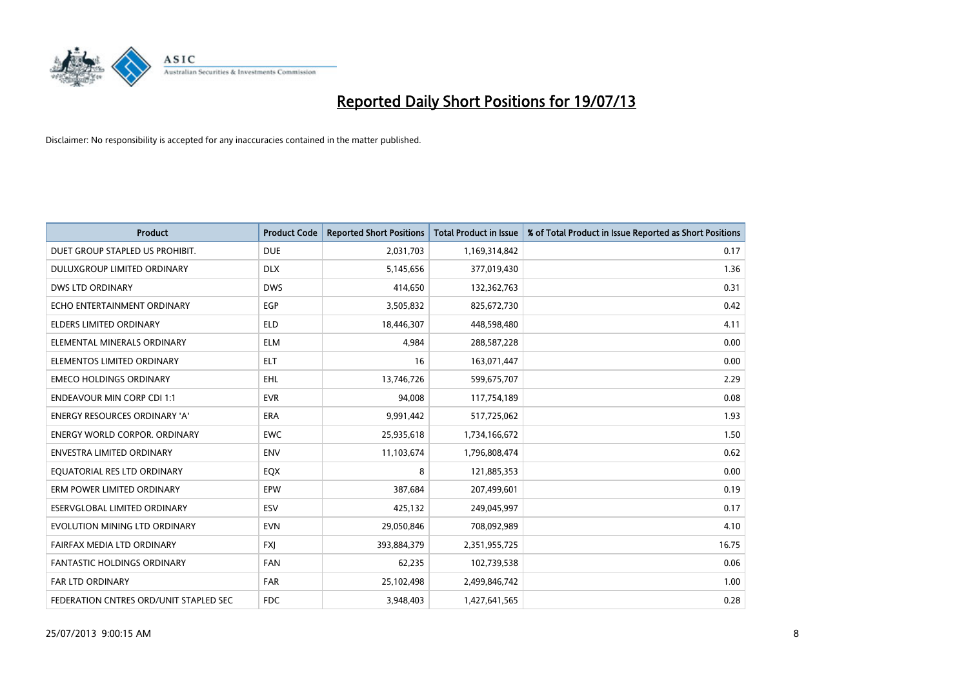

| <b>Product</b>                         | <b>Product Code</b> | <b>Reported Short Positions</b> | <b>Total Product in Issue</b> | % of Total Product in Issue Reported as Short Positions |
|----------------------------------------|---------------------|---------------------------------|-------------------------------|---------------------------------------------------------|
| DUET GROUP STAPLED US PROHIBIT.        | <b>DUE</b>          | 2,031,703                       | 1,169,314,842                 | 0.17                                                    |
| <b>DULUXGROUP LIMITED ORDINARY</b>     | <b>DLX</b>          | 5,145,656                       | 377,019,430                   | 1.36                                                    |
| <b>DWS LTD ORDINARY</b>                | <b>DWS</b>          | 414,650                         | 132,362,763                   | 0.31                                                    |
| ECHO ENTERTAINMENT ORDINARY            | <b>EGP</b>          | 3,505,832                       | 825,672,730                   | 0.42                                                    |
| <b>ELDERS LIMITED ORDINARY</b>         | <b>ELD</b>          | 18,446,307                      | 448,598,480                   | 4.11                                                    |
| ELEMENTAL MINERALS ORDINARY            | <b>ELM</b>          | 4,984                           | 288,587,228                   | 0.00                                                    |
| ELEMENTOS LIMITED ORDINARY             | <b>ELT</b>          | 16                              | 163,071,447                   | 0.00                                                    |
| <b>EMECO HOLDINGS ORDINARY</b>         | <b>EHL</b>          | 13,746,726                      | 599,675,707                   | 2.29                                                    |
| <b>ENDEAVOUR MIN CORP CDI 1:1</b>      | <b>EVR</b>          | 94,008                          | 117,754,189                   | 0.08                                                    |
| <b>ENERGY RESOURCES ORDINARY 'A'</b>   | <b>ERA</b>          | 9,991,442                       | 517,725,062                   | 1.93                                                    |
| <b>ENERGY WORLD CORPOR, ORDINARY</b>   | <b>EWC</b>          | 25,935,618                      | 1,734,166,672                 | 1.50                                                    |
| <b>ENVESTRA LIMITED ORDINARY</b>       | <b>ENV</b>          | 11,103,674                      | 1,796,808,474                 | 0.62                                                    |
| EQUATORIAL RES LTD ORDINARY            | EQX                 | 8                               | 121,885,353                   | 0.00                                                    |
| ERM POWER LIMITED ORDINARY             | EPW                 | 387,684                         | 207,499,601                   | 0.19                                                    |
| ESERVGLOBAL LIMITED ORDINARY           | ESV                 | 425,132                         | 249,045,997                   | 0.17                                                    |
| EVOLUTION MINING LTD ORDINARY          | <b>EVN</b>          | 29,050,846                      | 708,092,989                   | 4.10                                                    |
| FAIRFAX MEDIA LTD ORDINARY             | <b>FXJ</b>          | 393,884,379                     | 2,351,955,725                 | 16.75                                                   |
| FANTASTIC HOLDINGS ORDINARY            | <b>FAN</b>          | 62,235                          | 102,739,538                   | 0.06                                                    |
| <b>FAR LTD ORDINARY</b>                | <b>FAR</b>          | 25,102,498                      | 2,499,846,742                 | 1.00                                                    |
| FEDERATION CNTRES ORD/UNIT STAPLED SEC | <b>FDC</b>          | 3,948,403                       | 1,427,641,565                 | 0.28                                                    |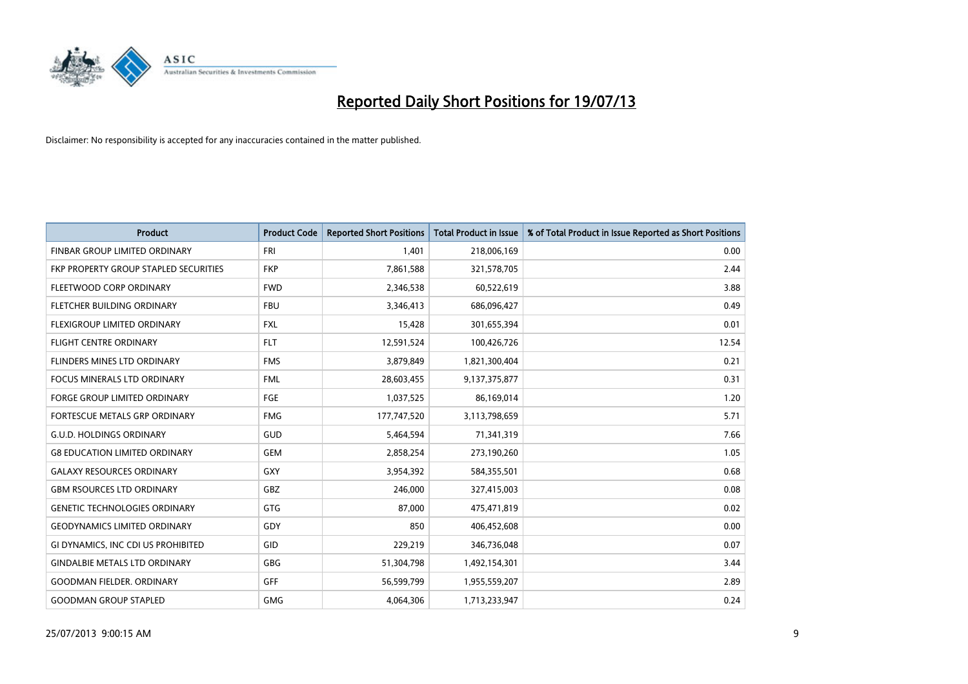

| <b>Product</b>                        | <b>Product Code</b> | <b>Reported Short Positions</b> | <b>Total Product in Issue</b> | % of Total Product in Issue Reported as Short Positions |
|---------------------------------------|---------------------|---------------------------------|-------------------------------|---------------------------------------------------------|
| FINBAR GROUP LIMITED ORDINARY         | <b>FRI</b>          | 1,401                           | 218,006,169                   | 0.00                                                    |
| FKP PROPERTY GROUP STAPLED SECURITIES | <b>FKP</b>          | 7,861,588                       | 321,578,705                   | 2.44                                                    |
| FLEETWOOD CORP ORDINARY               | <b>FWD</b>          | 2,346,538                       | 60,522,619                    | 3.88                                                    |
| FLETCHER BUILDING ORDINARY            | <b>FBU</b>          | 3,346,413                       | 686,096,427                   | 0.49                                                    |
| FLEXIGROUP LIMITED ORDINARY           | <b>FXL</b>          | 15,428                          | 301,655,394                   | 0.01                                                    |
| <b>FLIGHT CENTRE ORDINARY</b>         | <b>FLT</b>          | 12,591,524                      | 100,426,726                   | 12.54                                                   |
| <b>FLINDERS MINES LTD ORDINARY</b>    | <b>FMS</b>          | 3,879,849                       | 1,821,300,404                 | 0.21                                                    |
| FOCUS MINERALS LTD ORDINARY           | <b>FML</b>          | 28,603,455                      | 9,137,375,877                 | 0.31                                                    |
| <b>FORGE GROUP LIMITED ORDINARY</b>   | FGE                 | 1,037,525                       | 86,169,014                    | 1.20                                                    |
| FORTESCUE METALS GRP ORDINARY         | <b>FMG</b>          | 177,747,520                     | 3,113,798,659                 | 5.71                                                    |
| <b>G.U.D. HOLDINGS ORDINARY</b>       | GUD                 | 5,464,594                       | 71,341,319                    | 7.66                                                    |
| <b>G8 EDUCATION LIMITED ORDINARY</b>  | <b>GEM</b>          | 2,858,254                       | 273,190,260                   | 1.05                                                    |
| <b>GALAXY RESOURCES ORDINARY</b>      | GXY                 | 3,954,392                       | 584,355,501                   | 0.68                                                    |
| <b>GBM RSOURCES LTD ORDINARY</b>      | GBZ                 | 246,000                         | 327,415,003                   | 0.08                                                    |
| <b>GENETIC TECHNOLOGIES ORDINARY</b>  | GTG                 | 87,000                          | 475,471,819                   | 0.02                                                    |
| <b>GEODYNAMICS LIMITED ORDINARY</b>   | GDY                 | 850                             | 406,452,608                   | 0.00                                                    |
| GI DYNAMICS, INC CDI US PROHIBITED    | GID                 | 229,219                         | 346,736,048                   | 0.07                                                    |
| <b>GINDALBIE METALS LTD ORDINARY</b>  | GBG                 | 51,304,798                      | 1,492,154,301                 | 3.44                                                    |
| <b>GOODMAN FIELDER, ORDINARY</b>      | <b>GFF</b>          | 56,599,799                      | 1,955,559,207                 | 2.89                                                    |
| <b>GOODMAN GROUP STAPLED</b>          | <b>GMG</b>          | 4,064,306                       | 1,713,233,947                 | 0.24                                                    |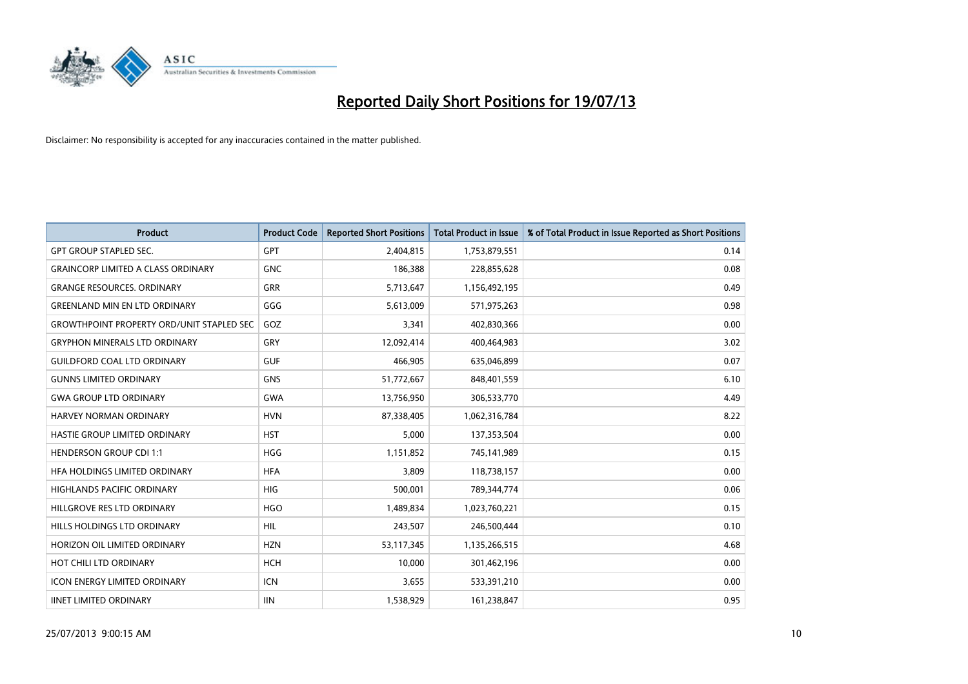

| <b>Product</b>                                   | <b>Product Code</b> | <b>Reported Short Positions</b> | <b>Total Product in Issue</b> | % of Total Product in Issue Reported as Short Positions |
|--------------------------------------------------|---------------------|---------------------------------|-------------------------------|---------------------------------------------------------|
| <b>GPT GROUP STAPLED SEC.</b>                    | <b>GPT</b>          | 2,404,815                       | 1,753,879,551                 | 0.14                                                    |
| <b>GRAINCORP LIMITED A CLASS ORDINARY</b>        | <b>GNC</b>          | 186,388                         | 228,855,628                   | 0.08                                                    |
| <b>GRANGE RESOURCES. ORDINARY</b>                | <b>GRR</b>          | 5,713,647                       | 1,156,492,195                 | 0.49                                                    |
| <b>GREENLAND MIN EN LTD ORDINARY</b>             | GGG                 | 5,613,009                       | 571,975,263                   | 0.98                                                    |
| <b>GROWTHPOINT PROPERTY ORD/UNIT STAPLED SEC</b> | GOZ                 | 3,341                           | 402,830,366                   | 0.00                                                    |
| <b>GRYPHON MINERALS LTD ORDINARY</b>             | GRY                 | 12,092,414                      | 400,464,983                   | 3.02                                                    |
| <b>GUILDFORD COAL LTD ORDINARY</b>               | <b>GUF</b>          | 466,905                         | 635,046,899                   | 0.07                                                    |
| <b>GUNNS LIMITED ORDINARY</b>                    | <b>GNS</b>          | 51,772,667                      | 848,401,559                   | 6.10                                                    |
| <b>GWA GROUP LTD ORDINARY</b>                    | <b>GWA</b>          | 13,756,950                      | 306,533,770                   | 4.49                                                    |
| <b>HARVEY NORMAN ORDINARY</b>                    | <b>HVN</b>          | 87,338,405                      | 1,062,316,784                 | 8.22                                                    |
| <b>HASTIE GROUP LIMITED ORDINARY</b>             | <b>HST</b>          | 5,000                           | 137,353,504                   | 0.00                                                    |
| <b>HENDERSON GROUP CDI 1:1</b>                   | <b>HGG</b>          | 1,151,852                       | 745,141,989                   | 0.15                                                    |
| HFA HOLDINGS LIMITED ORDINARY                    | <b>HFA</b>          | 3.809                           | 118,738,157                   | 0.00                                                    |
| <b>HIGHLANDS PACIFIC ORDINARY</b>                | <b>HIG</b>          | 500,001                         | 789,344,774                   | 0.06                                                    |
| HILLGROVE RES LTD ORDINARY                       | <b>HGO</b>          | 1,489,834                       | 1,023,760,221                 | 0.15                                                    |
| HILLS HOLDINGS LTD ORDINARY                      | HIL                 | 243,507                         | 246,500,444                   | 0.10                                                    |
| HORIZON OIL LIMITED ORDINARY                     | <b>HZN</b>          | 53,117,345                      | 1,135,266,515                 | 4.68                                                    |
| HOT CHILI LTD ORDINARY                           | <b>HCH</b>          | 10.000                          | 301,462,196                   | 0.00                                                    |
| <b>ICON ENERGY LIMITED ORDINARY</b>              | <b>ICN</b>          | 3,655                           | 533,391,210                   | 0.00                                                    |
| <b>IINET LIMITED ORDINARY</b>                    | <b>IIN</b>          | 1,538,929                       | 161,238,847                   | 0.95                                                    |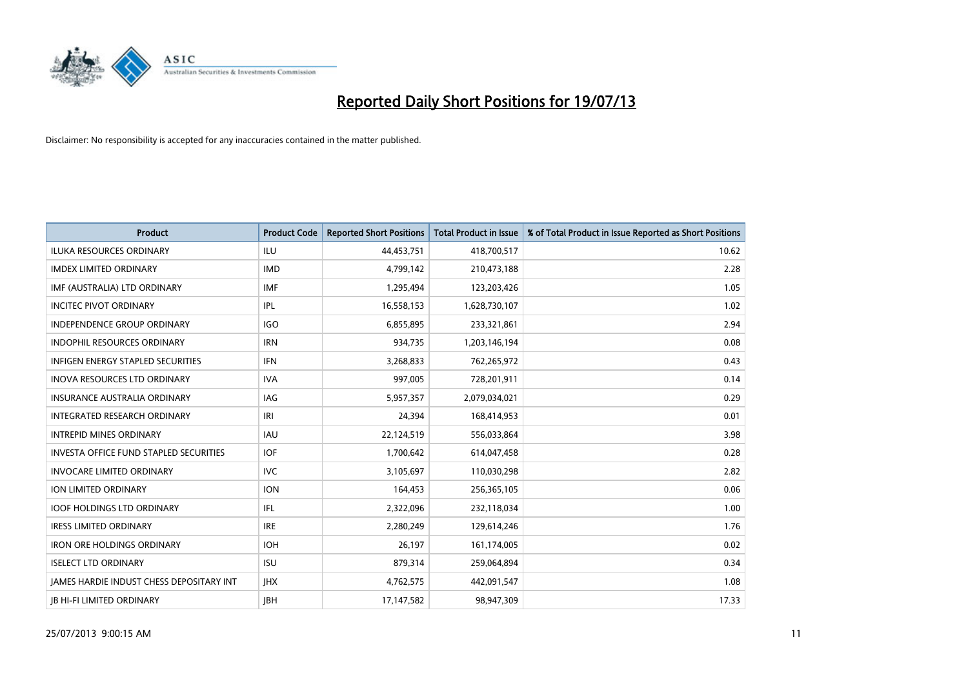

| <b>Product</b>                                  | <b>Product Code</b> | <b>Reported Short Positions</b> | <b>Total Product in Issue</b> | % of Total Product in Issue Reported as Short Positions |
|-------------------------------------------------|---------------------|---------------------------------|-------------------------------|---------------------------------------------------------|
| <b>ILUKA RESOURCES ORDINARY</b>                 | ILU                 | 44,453,751                      | 418,700,517                   | 10.62                                                   |
| <b>IMDEX LIMITED ORDINARY</b>                   | <b>IMD</b>          | 4,799,142                       | 210,473,188                   | 2.28                                                    |
| IMF (AUSTRALIA) LTD ORDINARY                    | <b>IMF</b>          | 1,295,494                       | 123,203,426                   | 1.05                                                    |
| <b>INCITEC PIVOT ORDINARY</b>                   | IPL                 | 16,558,153                      | 1,628,730,107                 | 1.02                                                    |
| <b>INDEPENDENCE GROUP ORDINARY</b>              | <b>IGO</b>          | 6,855,895                       | 233,321,861                   | 2.94                                                    |
| <b>INDOPHIL RESOURCES ORDINARY</b>              | <b>IRN</b>          | 934,735                         | 1,203,146,194                 | 0.08                                                    |
| <b>INFIGEN ENERGY STAPLED SECURITIES</b>        | <b>IFN</b>          | 3,268,833                       | 762,265,972                   | 0.43                                                    |
| <b>INOVA RESOURCES LTD ORDINARY</b>             | <b>IVA</b>          | 997,005                         | 728,201,911                   | 0.14                                                    |
| <b>INSURANCE AUSTRALIA ORDINARY</b>             | IAG                 | 5,957,357                       | 2,079,034,021                 | 0.29                                                    |
| INTEGRATED RESEARCH ORDINARY                    | IRI                 | 24.394                          | 168,414,953                   | 0.01                                                    |
| <b>INTREPID MINES ORDINARY</b>                  | <b>IAU</b>          | 22,124,519                      | 556,033,864                   | 3.98                                                    |
| <b>INVESTA OFFICE FUND STAPLED SECURITIES</b>   | <b>IOF</b>          | 1,700,642                       | 614,047,458                   | 0.28                                                    |
| <b>INVOCARE LIMITED ORDINARY</b>                | <b>IVC</b>          | 3,105,697                       | 110,030,298                   | 2.82                                                    |
| <b>ION LIMITED ORDINARY</b>                     | <b>ION</b>          | 164,453                         | 256,365,105                   | 0.06                                                    |
| <b>IOOF HOLDINGS LTD ORDINARY</b>               | IFL                 | 2,322,096                       | 232,118,034                   | 1.00                                                    |
| <b>IRESS LIMITED ORDINARY</b>                   | <b>IRE</b>          | 2,280,249                       | 129,614,246                   | 1.76                                                    |
| <b>IRON ORE HOLDINGS ORDINARY</b>               | <b>IOH</b>          | 26,197                          | 161,174,005                   | 0.02                                                    |
| <b>ISELECT LTD ORDINARY</b>                     | <b>ISU</b>          | 879,314                         | 259,064,894                   | 0.34                                                    |
| <b>IAMES HARDIE INDUST CHESS DEPOSITARY INT</b> | <b>IHX</b>          | 4,762,575                       | 442,091,547                   | 1.08                                                    |
| <b>IB HI-FI LIMITED ORDINARY</b>                | <b>JBH</b>          | 17,147,582                      | 98,947,309                    | 17.33                                                   |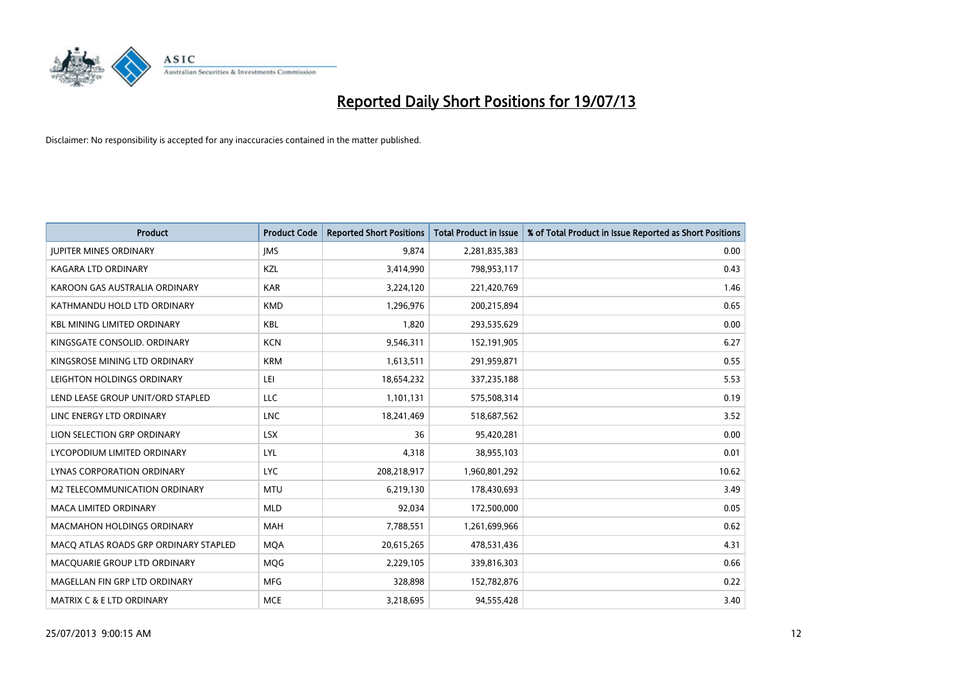

| <b>Product</b>                        | <b>Product Code</b> | <b>Reported Short Positions</b> | <b>Total Product in Issue</b> | % of Total Product in Issue Reported as Short Positions |
|---------------------------------------|---------------------|---------------------------------|-------------------------------|---------------------------------------------------------|
| <b>JUPITER MINES ORDINARY</b>         | <b>IMS</b>          | 9,874                           | 2,281,835,383                 | 0.00                                                    |
| <b>KAGARA LTD ORDINARY</b>            | KZL                 | 3,414,990                       | 798,953,117                   | 0.43                                                    |
| KAROON GAS AUSTRALIA ORDINARY         | <b>KAR</b>          | 3,224,120                       | 221,420,769                   | 1.46                                                    |
| KATHMANDU HOLD LTD ORDINARY           | <b>KMD</b>          | 1,296,976                       | 200,215,894                   | 0.65                                                    |
| <b>KBL MINING LIMITED ORDINARY</b>    | <b>KBL</b>          | 1,820                           | 293,535,629                   | 0.00                                                    |
| KINGSGATE CONSOLID. ORDINARY          | <b>KCN</b>          | 9,546,311                       | 152,191,905                   | 6.27                                                    |
| KINGSROSE MINING LTD ORDINARY         | <b>KRM</b>          | 1,613,511                       | 291,959,871                   | 0.55                                                    |
| LEIGHTON HOLDINGS ORDINARY            | LEI                 | 18,654,232                      | 337,235,188                   | 5.53                                                    |
| LEND LEASE GROUP UNIT/ORD STAPLED     | <b>LLC</b>          | 1,101,131                       | 575,508,314                   | 0.19                                                    |
| LINC ENERGY LTD ORDINARY              | <b>LNC</b>          | 18,241,469                      | 518,687,562                   | 3.52                                                    |
| LION SELECTION GRP ORDINARY           | <b>LSX</b>          | 36                              | 95,420,281                    | 0.00                                                    |
| LYCOPODIUM LIMITED ORDINARY           | LYL                 | 4,318                           | 38,955,103                    | 0.01                                                    |
| LYNAS CORPORATION ORDINARY            | <b>LYC</b>          | 208,218,917                     | 1,960,801,292                 | 10.62                                                   |
| <b>M2 TELECOMMUNICATION ORDINARY</b>  | <b>MTU</b>          | 6,219,130                       | 178,430,693                   | 3.49                                                    |
| MACA LIMITED ORDINARY                 | <b>MLD</b>          | 92,034                          | 172,500,000                   | 0.05                                                    |
| <b>MACMAHON HOLDINGS ORDINARY</b>     | <b>MAH</b>          | 7,788,551                       | 1,261,699,966                 | 0.62                                                    |
| MACO ATLAS ROADS GRP ORDINARY STAPLED | <b>MQA</b>          | 20,615,265                      | 478,531,436                   | 4.31                                                    |
| MACQUARIE GROUP LTD ORDINARY          | <b>MOG</b>          | 2,229,105                       | 339,816,303                   | 0.66                                                    |
| MAGELLAN FIN GRP LTD ORDINARY         | <b>MFG</b>          | 328,898                         | 152,782,876                   | 0.22                                                    |
| <b>MATRIX C &amp; E LTD ORDINARY</b>  | <b>MCE</b>          | 3,218,695                       | 94,555,428                    | 3.40                                                    |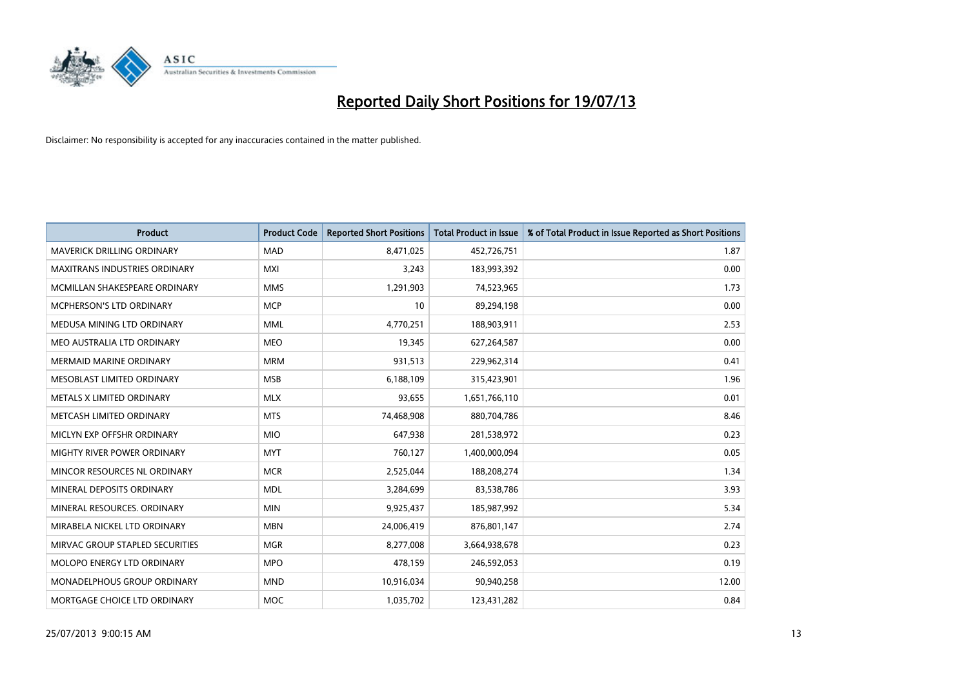

| Product                              | <b>Product Code</b> | <b>Reported Short Positions</b> | <b>Total Product in Issue</b> | % of Total Product in Issue Reported as Short Positions |
|--------------------------------------|---------------------|---------------------------------|-------------------------------|---------------------------------------------------------|
| <b>MAVERICK DRILLING ORDINARY</b>    | <b>MAD</b>          | 8,471,025                       | 452,726,751                   | 1.87                                                    |
| <b>MAXITRANS INDUSTRIES ORDINARY</b> | <b>MXI</b>          | 3,243                           | 183,993,392                   | 0.00                                                    |
| MCMILLAN SHAKESPEARE ORDINARY        | <b>MMS</b>          | 1,291,903                       | 74,523,965                    | 1.73                                                    |
| MCPHERSON'S LTD ORDINARY             | <b>MCP</b>          | 10                              | 89,294,198                    | 0.00                                                    |
| MEDUSA MINING LTD ORDINARY           | <b>MML</b>          | 4,770,251                       | 188,903,911                   | 2.53                                                    |
| MEO AUSTRALIA LTD ORDINARY           | <b>MEO</b>          | 19,345                          | 627,264,587                   | 0.00                                                    |
| <b>MERMAID MARINE ORDINARY</b>       | <b>MRM</b>          | 931,513                         | 229,962,314                   | 0.41                                                    |
| MESOBLAST LIMITED ORDINARY           | <b>MSB</b>          | 6,188,109                       | 315,423,901                   | 1.96                                                    |
| METALS X LIMITED ORDINARY            | <b>MLX</b>          | 93,655                          | 1,651,766,110                 | 0.01                                                    |
| METCASH LIMITED ORDINARY             | <b>MTS</b>          | 74,468,908                      | 880,704,786                   | 8.46                                                    |
| MICLYN EXP OFFSHR ORDINARY           | <b>MIO</b>          | 647,938                         | 281,538,972                   | 0.23                                                    |
| MIGHTY RIVER POWER ORDINARY          | <b>MYT</b>          | 760,127                         | 1,400,000,094                 | 0.05                                                    |
| MINCOR RESOURCES NL ORDINARY         | <b>MCR</b>          | 2,525,044                       | 188,208,274                   | 1.34                                                    |
| MINERAL DEPOSITS ORDINARY            | <b>MDL</b>          | 3,284,699                       | 83,538,786                    | 3.93                                                    |
| MINERAL RESOURCES, ORDINARY          | <b>MIN</b>          | 9,925,437                       | 185,987,992                   | 5.34                                                    |
| MIRABELA NICKEL LTD ORDINARY         | <b>MBN</b>          | 24,006,419                      | 876,801,147                   | 2.74                                                    |
| MIRVAC GROUP STAPLED SECURITIES      | MGR                 | 8,277,008                       | 3,664,938,678                 | 0.23                                                    |
| MOLOPO ENERGY LTD ORDINARY           | <b>MPO</b>          | 478,159                         | 246,592,053                   | 0.19                                                    |
| MONADELPHOUS GROUP ORDINARY          | <b>MND</b>          | 10,916,034                      | 90,940,258                    | 12.00                                                   |
| MORTGAGE CHOICE LTD ORDINARY         | MOC                 | 1,035,702                       | 123,431,282                   | 0.84                                                    |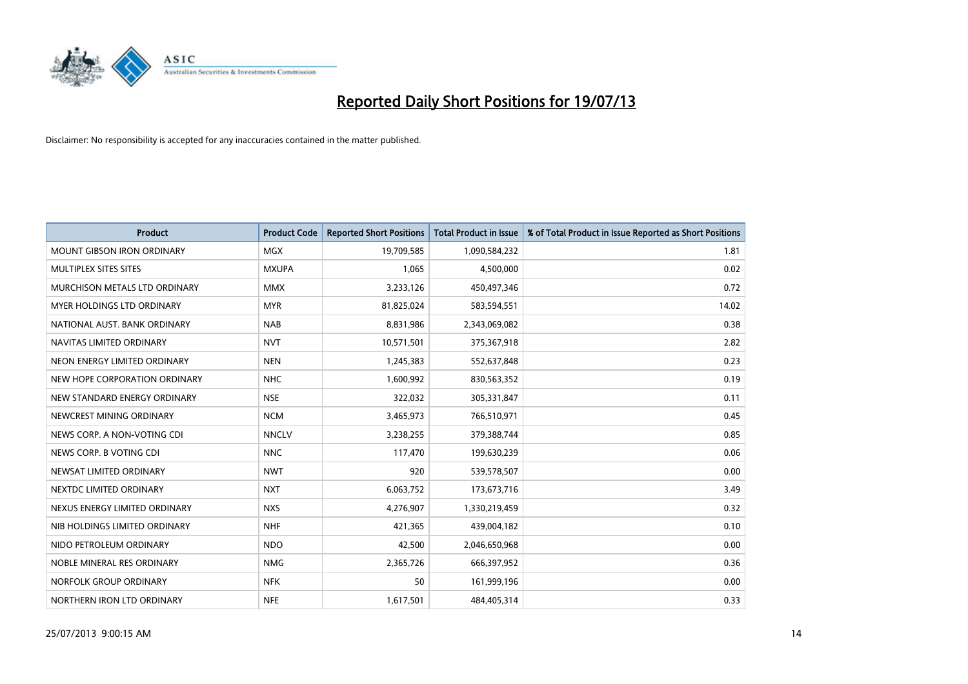

| <b>Product</b>                    | <b>Product Code</b> | <b>Reported Short Positions</b> | <b>Total Product in Issue</b> | % of Total Product in Issue Reported as Short Positions |
|-----------------------------------|---------------------|---------------------------------|-------------------------------|---------------------------------------------------------|
| <b>MOUNT GIBSON IRON ORDINARY</b> | MGX                 | 19,709,585                      | 1,090,584,232                 | 1.81                                                    |
| MULTIPLEX SITES SITES             | <b>MXUPA</b>        | 1,065                           | 4,500,000                     | 0.02                                                    |
| MURCHISON METALS LTD ORDINARY     | <b>MMX</b>          | 3,233,126                       | 450,497,346                   | 0.72                                                    |
| MYER HOLDINGS LTD ORDINARY        | <b>MYR</b>          | 81,825,024                      | 583,594,551                   | 14.02                                                   |
| NATIONAL AUST. BANK ORDINARY      | <b>NAB</b>          | 8,831,986                       | 2,343,069,082                 | 0.38                                                    |
| NAVITAS LIMITED ORDINARY          | <b>NVT</b>          | 10,571,501                      | 375,367,918                   | 2.82                                                    |
| NEON ENERGY LIMITED ORDINARY      | <b>NEN</b>          | 1,245,383                       | 552,637,848                   | 0.23                                                    |
| NEW HOPE CORPORATION ORDINARY     | <b>NHC</b>          | 1,600,992                       | 830,563,352                   | 0.19                                                    |
| NEW STANDARD ENERGY ORDINARY      | <b>NSE</b>          | 322,032                         | 305,331,847                   | 0.11                                                    |
| NEWCREST MINING ORDINARY          | <b>NCM</b>          | 3,465,973                       | 766,510,971                   | 0.45                                                    |
| NEWS CORP. A NON-VOTING CDI       | <b>NNCLV</b>        | 3,238,255                       | 379,388,744                   | 0.85                                                    |
| NEWS CORP. B VOTING CDI           | <b>NNC</b>          | 117,470                         | 199,630,239                   | 0.06                                                    |
| NEWSAT LIMITED ORDINARY           | <b>NWT</b>          | 920                             | 539,578,507                   | 0.00                                                    |
| NEXTDC LIMITED ORDINARY           | <b>NXT</b>          | 6,063,752                       | 173,673,716                   | 3.49                                                    |
| NEXUS ENERGY LIMITED ORDINARY     | <b>NXS</b>          | 4,276,907                       | 1,330,219,459                 | 0.32                                                    |
| NIB HOLDINGS LIMITED ORDINARY     | <b>NHF</b>          | 421,365                         | 439,004,182                   | 0.10                                                    |
| NIDO PETROLEUM ORDINARY           | <b>NDO</b>          | 42,500                          | 2,046,650,968                 | 0.00                                                    |
| NOBLE MINERAL RES ORDINARY        | <b>NMG</b>          | 2,365,726                       | 666,397,952                   | 0.36                                                    |
| NORFOLK GROUP ORDINARY            | <b>NFK</b>          | 50                              | 161,999,196                   | 0.00                                                    |
| NORTHERN IRON LTD ORDINARY        | <b>NFE</b>          | 1,617,501                       | 484,405,314                   | 0.33                                                    |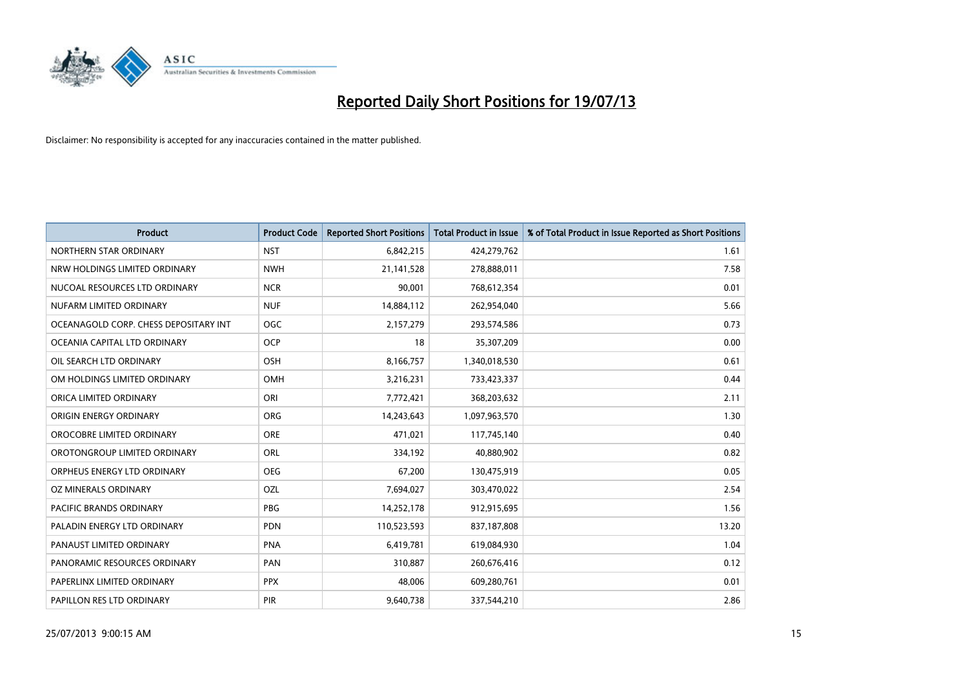

| <b>Product</b>                        | <b>Product Code</b> | <b>Reported Short Positions</b> | <b>Total Product in Issue</b> | % of Total Product in Issue Reported as Short Positions |
|---------------------------------------|---------------------|---------------------------------|-------------------------------|---------------------------------------------------------|
| NORTHERN STAR ORDINARY                | <b>NST</b>          | 6,842,215                       | 424,279,762                   | 1.61                                                    |
| NRW HOLDINGS LIMITED ORDINARY         | <b>NWH</b>          | 21,141,528                      | 278,888,011                   | 7.58                                                    |
| NUCOAL RESOURCES LTD ORDINARY         | <b>NCR</b>          | 90,001                          | 768,612,354                   | 0.01                                                    |
| NUFARM LIMITED ORDINARY               | <b>NUF</b>          | 14,884,112                      | 262,954,040                   | 5.66                                                    |
| OCEANAGOLD CORP. CHESS DEPOSITARY INT | <b>OGC</b>          | 2,157,279                       | 293,574,586                   | 0.73                                                    |
| OCEANIA CAPITAL LTD ORDINARY          | <b>OCP</b>          | 18                              | 35,307,209                    | 0.00                                                    |
| OIL SEARCH LTD ORDINARY               | OSH                 | 8,166,757                       | 1,340,018,530                 | 0.61                                                    |
| OM HOLDINGS LIMITED ORDINARY          | OMH                 | 3,216,231                       | 733,423,337                   | 0.44                                                    |
| ORICA LIMITED ORDINARY                | ORI                 | 7,772,421                       | 368,203,632                   | 2.11                                                    |
| ORIGIN ENERGY ORDINARY                | <b>ORG</b>          | 14,243,643                      | 1,097,963,570                 | 1.30                                                    |
| OROCOBRE LIMITED ORDINARY             | <b>ORE</b>          | 471,021                         | 117,745,140                   | 0.40                                                    |
| OROTONGROUP LIMITED ORDINARY          | <b>ORL</b>          | 334,192                         | 40,880,902                    | 0.82                                                    |
| ORPHEUS ENERGY LTD ORDINARY           | <b>OEG</b>          | 67,200                          | 130,475,919                   | 0.05                                                    |
| OZ MINERALS ORDINARY                  | OZL                 | 7,694,027                       | 303,470,022                   | 2.54                                                    |
| PACIFIC BRANDS ORDINARY               | <b>PBG</b>          | 14,252,178                      | 912,915,695                   | 1.56                                                    |
| PALADIN ENERGY LTD ORDINARY           | <b>PDN</b>          | 110,523,593                     | 837,187,808                   | 13.20                                                   |
| PANAUST LIMITED ORDINARY              | <b>PNA</b>          | 6,419,781                       | 619,084,930                   | 1.04                                                    |
| PANORAMIC RESOURCES ORDINARY          | PAN                 | 310,887                         | 260,676,416                   | 0.12                                                    |
| PAPERLINX LIMITED ORDINARY            | <b>PPX</b>          | 48,006                          | 609,280,761                   | 0.01                                                    |
| PAPILLON RES LTD ORDINARY             | PIR                 | 9,640,738                       | 337,544,210                   | 2.86                                                    |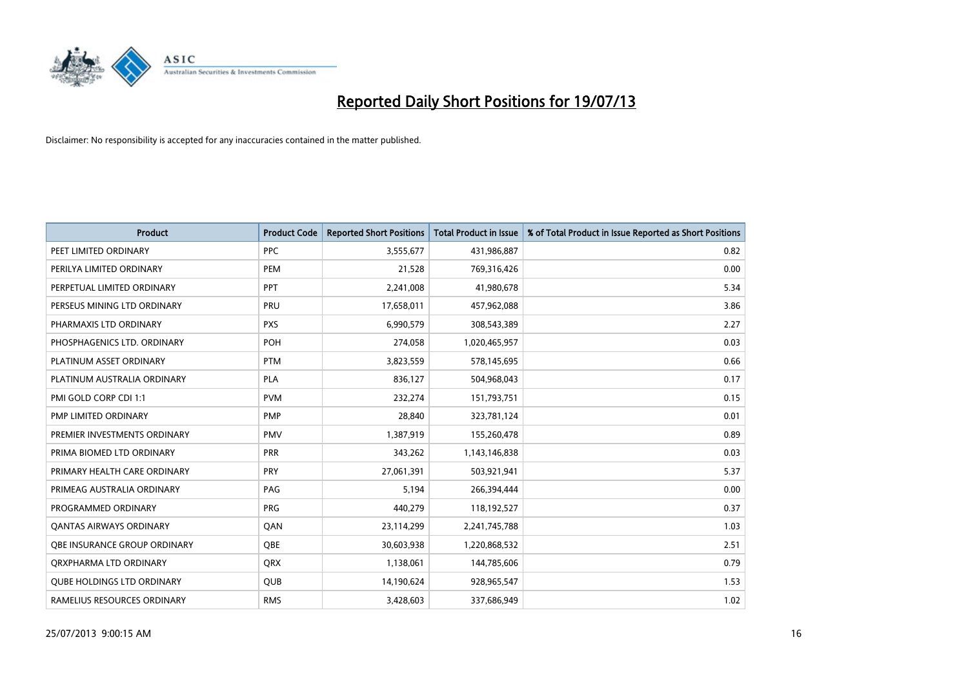

| <b>Product</b>                    | <b>Product Code</b> | <b>Reported Short Positions</b> | <b>Total Product in Issue</b> | % of Total Product in Issue Reported as Short Positions |
|-----------------------------------|---------------------|---------------------------------|-------------------------------|---------------------------------------------------------|
| PEET LIMITED ORDINARY             | <b>PPC</b>          | 3,555,677                       | 431,986,887                   | 0.82                                                    |
| PERILYA LIMITED ORDINARY          | <b>PEM</b>          | 21,528                          | 769,316,426                   | 0.00                                                    |
| PERPETUAL LIMITED ORDINARY        | <b>PPT</b>          | 2,241,008                       | 41,980,678                    | 5.34                                                    |
| PERSEUS MINING LTD ORDINARY       | PRU                 | 17,658,011                      | 457,962,088                   | 3.86                                                    |
| PHARMAXIS LTD ORDINARY            | <b>PXS</b>          | 6,990,579                       | 308,543,389                   | 2.27                                                    |
| PHOSPHAGENICS LTD. ORDINARY       | POH                 | 274,058                         | 1,020,465,957                 | 0.03                                                    |
| PLATINUM ASSET ORDINARY           | <b>PTM</b>          | 3,823,559                       | 578,145,695                   | 0.66                                                    |
| PLATINUM AUSTRALIA ORDINARY       | PLA                 | 836,127                         | 504,968,043                   | 0.17                                                    |
| PMI GOLD CORP CDI 1:1             | <b>PVM</b>          | 232,274                         | 151,793,751                   | 0.15                                                    |
| <b>PMP LIMITED ORDINARY</b>       | <b>PMP</b>          | 28,840                          | 323,781,124                   | 0.01                                                    |
| PREMIER INVESTMENTS ORDINARY      | <b>PMV</b>          | 1,387,919                       | 155,260,478                   | 0.89                                                    |
| PRIMA BIOMED LTD ORDINARY         | <b>PRR</b>          | 343,262                         | 1,143,146,838                 | 0.03                                                    |
| PRIMARY HEALTH CARE ORDINARY      | <b>PRY</b>          | 27,061,391                      | 503,921,941                   | 5.37                                                    |
| PRIMEAG AUSTRALIA ORDINARY        | PAG                 | 5,194                           | 266,394,444                   | 0.00                                                    |
| PROGRAMMED ORDINARY               | <b>PRG</b>          | 440,279                         | 118,192,527                   | 0.37                                                    |
| <b>QANTAS AIRWAYS ORDINARY</b>    | QAN                 | 23,114,299                      | 2,241,745,788                 | 1.03                                                    |
| OBE INSURANCE GROUP ORDINARY      | <b>OBE</b>          | 30,603,938                      | 1,220,868,532                 | 2.51                                                    |
| ORXPHARMA LTD ORDINARY            | QRX                 | 1,138,061                       | 144,785,606                   | 0.79                                                    |
| <b>QUBE HOLDINGS LTD ORDINARY</b> | <b>QUB</b>          | 14,190,624                      | 928,965,547                   | 1.53                                                    |
| RAMELIUS RESOURCES ORDINARY       | <b>RMS</b>          | 3,428,603                       | 337,686,949                   | 1.02                                                    |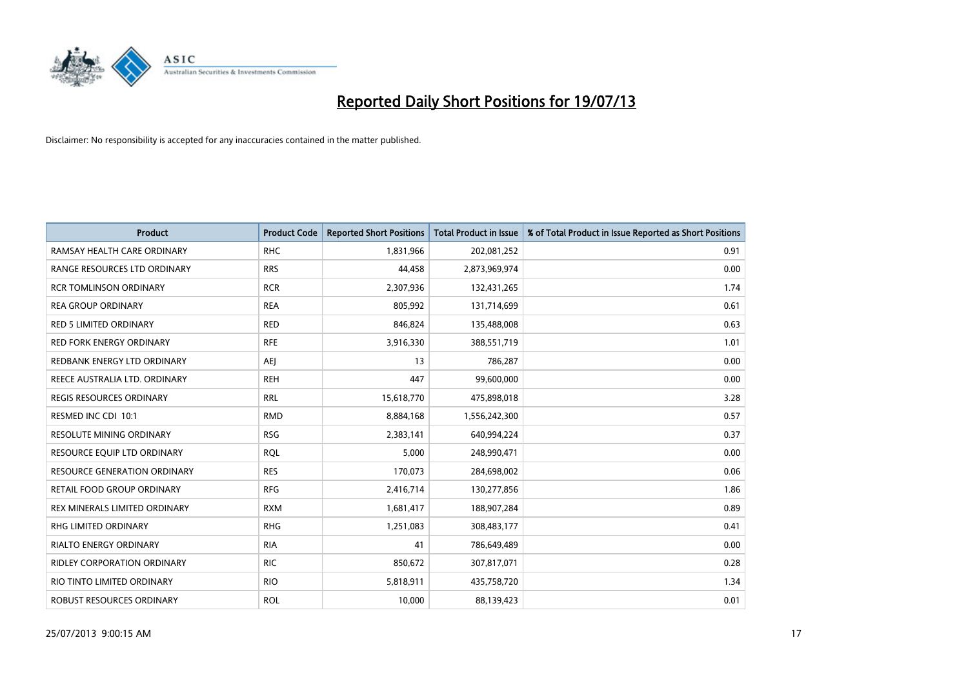

| <b>Product</b>                      | <b>Product Code</b> | <b>Reported Short Positions</b> | <b>Total Product in Issue</b> | % of Total Product in Issue Reported as Short Positions |
|-------------------------------------|---------------------|---------------------------------|-------------------------------|---------------------------------------------------------|
| RAMSAY HEALTH CARE ORDINARY         | <b>RHC</b>          | 1,831,966                       | 202,081,252                   | 0.91                                                    |
| RANGE RESOURCES LTD ORDINARY        | <b>RRS</b>          | 44,458                          | 2,873,969,974                 | 0.00                                                    |
| <b>RCR TOMLINSON ORDINARY</b>       | <b>RCR</b>          | 2,307,936                       | 132,431,265                   | 1.74                                                    |
| <b>REA GROUP ORDINARY</b>           | <b>REA</b>          | 805,992                         | 131,714,699                   | 0.61                                                    |
| <b>RED 5 LIMITED ORDINARY</b>       | <b>RED</b>          | 846,824                         | 135,488,008                   | 0.63                                                    |
| <b>RED FORK ENERGY ORDINARY</b>     | <b>RFE</b>          | 3,916,330                       | 388,551,719                   | 1.01                                                    |
| REDBANK ENERGY LTD ORDINARY         | AEJ                 | 13                              | 786,287                       | 0.00                                                    |
| REECE AUSTRALIA LTD. ORDINARY       | <b>REH</b>          | 447                             | 99,600,000                    | 0.00                                                    |
| REGIS RESOURCES ORDINARY            | <b>RRL</b>          | 15,618,770                      | 475,898,018                   | 3.28                                                    |
| RESMED INC CDI 10:1                 | <b>RMD</b>          | 8,884,168                       | 1,556,242,300                 | 0.57                                                    |
| RESOLUTE MINING ORDINARY            | <b>RSG</b>          | 2,383,141                       | 640,994,224                   | 0.37                                                    |
| RESOURCE EQUIP LTD ORDINARY         | <b>RQL</b>          | 5,000                           | 248,990,471                   | 0.00                                                    |
| <b>RESOURCE GENERATION ORDINARY</b> | <b>RES</b>          | 170,073                         | 284,698,002                   | 0.06                                                    |
| RETAIL FOOD GROUP ORDINARY          | <b>RFG</b>          | 2,416,714                       | 130,277,856                   | 1.86                                                    |
| REX MINERALS LIMITED ORDINARY       | <b>RXM</b>          | 1,681,417                       | 188,907,284                   | 0.89                                                    |
| <b>RHG LIMITED ORDINARY</b>         | <b>RHG</b>          | 1,251,083                       | 308,483,177                   | 0.41                                                    |
| <b>RIALTO ENERGY ORDINARY</b>       | <b>RIA</b>          | 41                              | 786,649,489                   | 0.00                                                    |
| <b>RIDLEY CORPORATION ORDINARY</b>  | <b>RIC</b>          | 850,672                         | 307,817,071                   | 0.28                                                    |
| RIO TINTO LIMITED ORDINARY          | <b>RIO</b>          | 5,818,911                       | 435,758,720                   | 1.34                                                    |
| ROBUST RESOURCES ORDINARY           | <b>ROL</b>          | 10,000                          | 88,139,423                    | 0.01                                                    |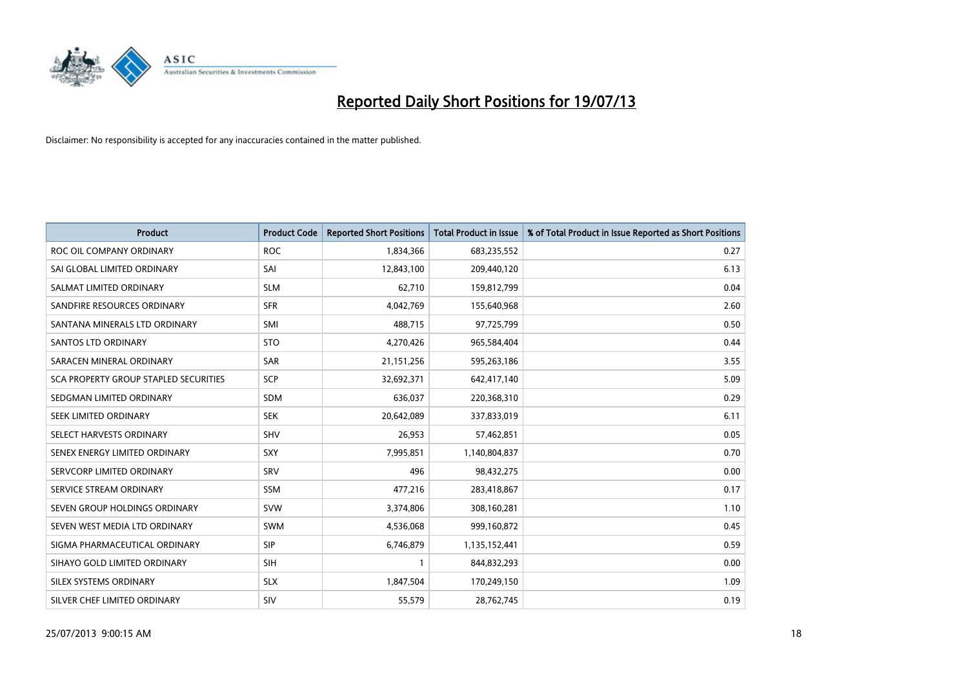

| <b>Product</b>                        | <b>Product Code</b> | <b>Reported Short Positions</b> | <b>Total Product in Issue</b> | % of Total Product in Issue Reported as Short Positions |
|---------------------------------------|---------------------|---------------------------------|-------------------------------|---------------------------------------------------------|
| ROC OIL COMPANY ORDINARY              | <b>ROC</b>          | 1,834,366                       | 683,235,552                   | 0.27                                                    |
| SAI GLOBAL LIMITED ORDINARY           | SAI                 | 12,843,100                      | 209,440,120                   | 6.13                                                    |
| SALMAT LIMITED ORDINARY               | <b>SLM</b>          | 62,710                          | 159,812,799                   | 0.04                                                    |
| SANDFIRE RESOURCES ORDINARY           | <b>SFR</b>          | 4,042,769                       | 155,640,968                   | 2.60                                                    |
| SANTANA MINERALS LTD ORDINARY         | SMI                 | 488,715                         | 97,725,799                    | 0.50                                                    |
| SANTOS LTD ORDINARY                   | <b>STO</b>          | 4,270,426                       | 965,584,404                   | 0.44                                                    |
| SARACEN MINERAL ORDINARY              | SAR                 | 21,151,256                      | 595,263,186                   | 3.55                                                    |
| SCA PROPERTY GROUP STAPLED SECURITIES | SCP                 | 32,692,371                      | 642,417,140                   | 5.09                                                    |
| SEDGMAN LIMITED ORDINARY              | <b>SDM</b>          | 636,037                         | 220,368,310                   | 0.29                                                    |
| SEEK LIMITED ORDINARY                 | <b>SEK</b>          | 20,642,089                      | 337,833,019                   | 6.11                                                    |
| SELECT HARVESTS ORDINARY              | SHV                 | 26,953                          | 57,462,851                    | 0.05                                                    |
| SENEX ENERGY LIMITED ORDINARY         | <b>SXY</b>          | 7,995,851                       | 1,140,804,837                 | 0.70                                                    |
| SERVCORP LIMITED ORDINARY             | SRV                 | 496                             | 98,432,275                    | 0.00                                                    |
| SERVICE STREAM ORDINARY               | <b>SSM</b>          | 477,216                         | 283,418,867                   | 0.17                                                    |
| SEVEN GROUP HOLDINGS ORDINARY         | <b>SVW</b>          | 3,374,806                       | 308,160,281                   | 1.10                                                    |
| SEVEN WEST MEDIA LTD ORDINARY         | SWM                 | 4,536,068                       | 999,160,872                   | 0.45                                                    |
| SIGMA PHARMACEUTICAL ORDINARY         | <b>SIP</b>          | 6,746,879                       | 1,135,152,441                 | 0.59                                                    |
| SIHAYO GOLD LIMITED ORDINARY          | <b>SIH</b>          | 1                               | 844,832,293                   | 0.00                                                    |
| SILEX SYSTEMS ORDINARY                | <b>SLX</b>          | 1,847,504                       | 170,249,150                   | 1.09                                                    |
| SILVER CHEF LIMITED ORDINARY          | <b>SIV</b>          | 55,579                          | 28,762,745                    | 0.19                                                    |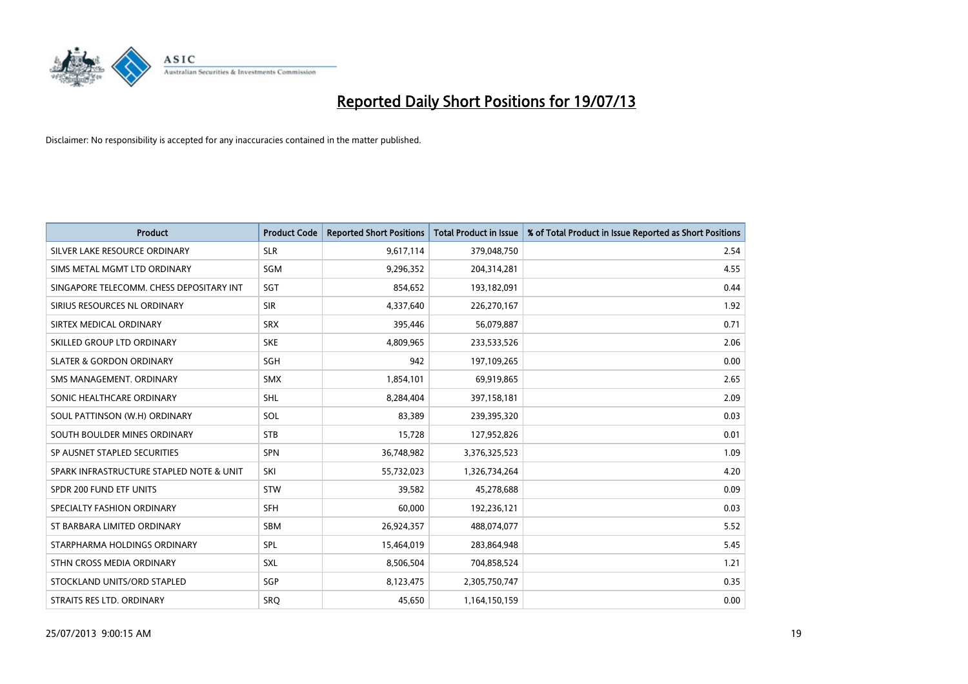

| <b>Product</b>                           | <b>Product Code</b> | <b>Reported Short Positions</b> | <b>Total Product in Issue</b> | % of Total Product in Issue Reported as Short Positions |
|------------------------------------------|---------------------|---------------------------------|-------------------------------|---------------------------------------------------------|
| SILVER LAKE RESOURCE ORDINARY            | <b>SLR</b>          | 9,617,114                       | 379,048,750                   | 2.54                                                    |
| SIMS METAL MGMT LTD ORDINARY             | <b>SGM</b>          | 9,296,352                       | 204,314,281                   | 4.55                                                    |
| SINGAPORE TELECOMM. CHESS DEPOSITARY INT | SGT                 | 854,652                         | 193,182,091                   | 0.44                                                    |
| SIRIUS RESOURCES NL ORDINARY             | <b>SIR</b>          | 4,337,640                       | 226,270,167                   | 1.92                                                    |
| SIRTEX MEDICAL ORDINARY                  | <b>SRX</b>          | 395,446                         | 56,079,887                    | 0.71                                                    |
| SKILLED GROUP LTD ORDINARY               | <b>SKE</b>          | 4,809,965                       | 233,533,526                   | 2.06                                                    |
| <b>SLATER &amp; GORDON ORDINARY</b>      | SGH                 | 942                             | 197,109,265                   | 0.00                                                    |
| SMS MANAGEMENT. ORDINARY                 | <b>SMX</b>          | 1,854,101                       | 69,919,865                    | 2.65                                                    |
| SONIC HEALTHCARE ORDINARY                | <b>SHL</b>          | 8,284,404                       | 397,158,181                   | 2.09                                                    |
| SOUL PATTINSON (W.H) ORDINARY            | SOL                 | 83,389                          | 239,395,320                   | 0.03                                                    |
| SOUTH BOULDER MINES ORDINARY             | <b>STB</b>          | 15,728                          | 127,952,826                   | 0.01                                                    |
| SP AUSNET STAPLED SECURITIES             | SPN                 | 36,748,982                      | 3,376,325,523                 | 1.09                                                    |
| SPARK INFRASTRUCTURE STAPLED NOTE & UNIT | SKI                 | 55,732,023                      | 1,326,734,264                 | 4.20                                                    |
| SPDR 200 FUND ETF UNITS                  | <b>STW</b>          | 39,582                          | 45,278,688                    | 0.09                                                    |
| SPECIALTY FASHION ORDINARY               | <b>SFH</b>          | 60,000                          | 192,236,121                   | 0.03                                                    |
| ST BARBARA LIMITED ORDINARY              | SBM                 | 26,924,357                      | 488,074,077                   | 5.52                                                    |
| STARPHARMA HOLDINGS ORDINARY             | SPL                 | 15,464,019                      | 283,864,948                   | 5.45                                                    |
| STHN CROSS MEDIA ORDINARY                | <b>SXL</b>          | 8,506,504                       | 704,858,524                   | 1.21                                                    |
| STOCKLAND UNITS/ORD STAPLED              | SGP                 | 8,123,475                       | 2,305,750,747                 | 0.35                                                    |
| STRAITS RES LTD. ORDINARY                | SRQ                 | 45,650                          | 1,164,150,159                 | 0.00                                                    |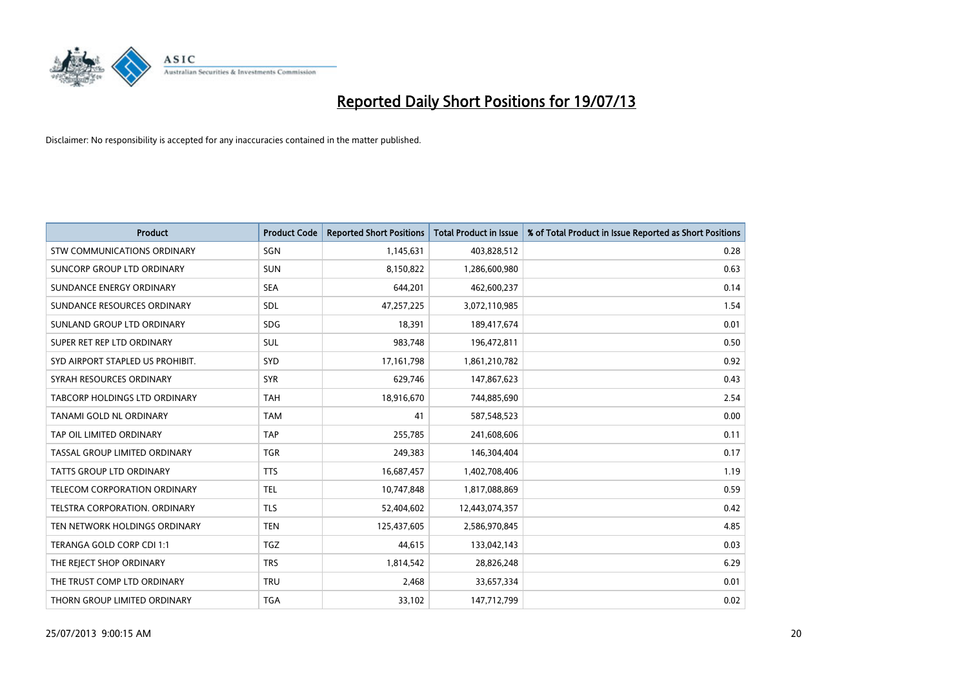

| <b>Product</b>                     | <b>Product Code</b> | <b>Reported Short Positions</b> | <b>Total Product in Issue</b> | % of Total Product in Issue Reported as Short Positions |
|------------------------------------|---------------------|---------------------------------|-------------------------------|---------------------------------------------------------|
| <b>STW COMMUNICATIONS ORDINARY</b> | SGN                 | 1,145,631                       | 403,828,512                   | 0.28                                                    |
| SUNCORP GROUP LTD ORDINARY         | <b>SUN</b>          | 8,150,822                       | 1,286,600,980                 | 0.63                                                    |
| SUNDANCE ENERGY ORDINARY           | <b>SEA</b>          | 644,201                         | 462,600,237                   | 0.14                                                    |
| SUNDANCE RESOURCES ORDINARY        | SDL                 | 47,257,225                      | 3,072,110,985                 | 1.54                                                    |
| SUNLAND GROUP LTD ORDINARY         | <b>SDG</b>          | 18,391                          | 189,417,674                   | 0.01                                                    |
| SUPER RET REP LTD ORDINARY         | <b>SUL</b>          | 983,748                         | 196,472,811                   | 0.50                                                    |
| SYD AIRPORT STAPLED US PROHIBIT.   | <b>SYD</b>          | 17, 161, 798                    | 1,861,210,782                 | 0.92                                                    |
| SYRAH RESOURCES ORDINARY           | <b>SYR</b>          | 629,746                         | 147,867,623                   | 0.43                                                    |
| TABCORP HOLDINGS LTD ORDINARY      | <b>TAH</b>          | 18,916,670                      | 744,885,690                   | 2.54                                                    |
| TANAMI GOLD NL ORDINARY            | <b>TAM</b>          | 41                              | 587,548,523                   | 0.00                                                    |
| TAP OIL LIMITED ORDINARY           | <b>TAP</b>          | 255,785                         | 241,608,606                   | 0.11                                                    |
| TASSAL GROUP LIMITED ORDINARY      | <b>TGR</b>          | 249,383                         | 146,304,404                   | 0.17                                                    |
| TATTS GROUP LTD ORDINARY           | <b>TTS</b>          | 16,687,457                      | 1,402,708,406                 | 1.19                                                    |
| TELECOM CORPORATION ORDINARY       | <b>TEL</b>          | 10,747,848                      | 1,817,088,869                 | 0.59                                                    |
| TELSTRA CORPORATION. ORDINARY      | <b>TLS</b>          | 52,404,602                      | 12,443,074,357                | 0.42                                                    |
| TEN NETWORK HOLDINGS ORDINARY      | <b>TEN</b>          | 125,437,605                     | 2,586,970,845                 | 4.85                                                    |
| TERANGA GOLD CORP CDI 1:1          | <b>TGZ</b>          | 44,615                          | 133,042,143                   | 0.03                                                    |
| THE REJECT SHOP ORDINARY           | <b>TRS</b>          | 1,814,542                       | 28,826,248                    | 6.29                                                    |
| THE TRUST COMP LTD ORDINARY        | <b>TRU</b>          | 2,468                           | 33,657,334                    | 0.01                                                    |
| THORN GROUP LIMITED ORDINARY       | <b>TGA</b>          | 33,102                          | 147,712,799                   | 0.02                                                    |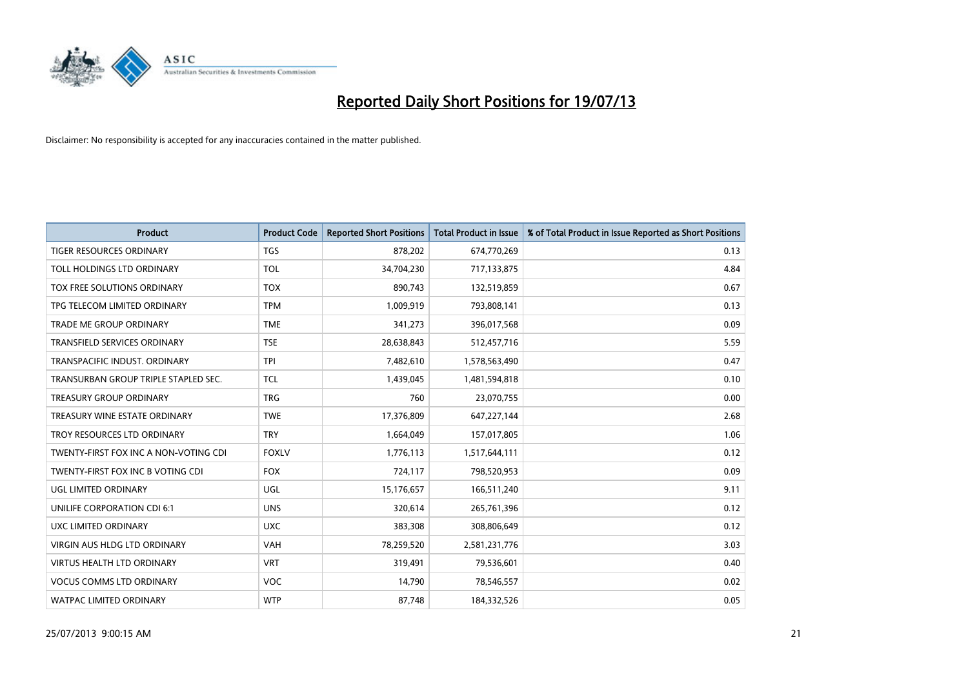

| <b>Product</b>                        | <b>Product Code</b> | <b>Reported Short Positions</b> | <b>Total Product in Issue</b> | % of Total Product in Issue Reported as Short Positions |
|---------------------------------------|---------------------|---------------------------------|-------------------------------|---------------------------------------------------------|
| <b>TIGER RESOURCES ORDINARY</b>       | <b>TGS</b>          | 878,202                         | 674,770,269                   | 0.13                                                    |
| TOLL HOLDINGS LTD ORDINARY            | <b>TOL</b>          | 34,704,230                      | 717,133,875                   | 4.84                                                    |
| TOX FREE SOLUTIONS ORDINARY           | <b>TOX</b>          | 890,743                         | 132,519,859                   | 0.67                                                    |
| TPG TELECOM LIMITED ORDINARY          | <b>TPM</b>          | 1,009,919                       | 793,808,141                   | 0.13                                                    |
| <b>TRADE ME GROUP ORDINARY</b>        | <b>TME</b>          | 341,273                         | 396,017,568                   | 0.09                                                    |
| <b>TRANSFIELD SERVICES ORDINARY</b>   | <b>TSE</b>          | 28,638,843                      | 512,457,716                   | 5.59                                                    |
| TRANSPACIFIC INDUST, ORDINARY         | <b>TPI</b>          | 7,482,610                       | 1,578,563,490                 | 0.47                                                    |
| TRANSURBAN GROUP TRIPLE STAPLED SEC.  | <b>TCL</b>          | 1,439,045                       | 1,481,594,818                 | 0.10                                                    |
| <b>TREASURY GROUP ORDINARY</b>        | <b>TRG</b>          | 760                             | 23,070,755                    | 0.00                                                    |
| TREASURY WINE ESTATE ORDINARY         | <b>TWE</b>          | 17,376,809                      | 647,227,144                   | 2.68                                                    |
| TROY RESOURCES LTD ORDINARY           | <b>TRY</b>          | 1,664,049                       | 157,017,805                   | 1.06                                                    |
| TWENTY-FIRST FOX INC A NON-VOTING CDI | <b>FOXLV</b>        | 1,776,113                       | 1,517,644,111                 | 0.12                                                    |
| TWENTY-FIRST FOX INC B VOTING CDI     | <b>FOX</b>          | 724,117                         | 798,520,953                   | 0.09                                                    |
| UGL LIMITED ORDINARY                  | UGL                 | 15,176,657                      | 166,511,240                   | 9.11                                                    |
| UNILIFE CORPORATION CDI 6:1           | <b>UNS</b>          | 320,614                         | 265,761,396                   | 0.12                                                    |
| UXC LIMITED ORDINARY                  | <b>UXC</b>          | 383,308                         | 308,806,649                   | 0.12                                                    |
| <b>VIRGIN AUS HLDG LTD ORDINARY</b>   | VAH                 | 78,259,520                      | 2,581,231,776                 | 3.03                                                    |
| <b>VIRTUS HEALTH LTD ORDINARY</b>     | <b>VRT</b>          | 319,491                         | 79,536,601                    | 0.40                                                    |
| <b>VOCUS COMMS LTD ORDINARY</b>       | <b>VOC</b>          | 14,790                          | 78,546,557                    | 0.02                                                    |
| <b>WATPAC LIMITED ORDINARY</b>        | <b>WTP</b>          | 87,748                          | 184,332,526                   | 0.05                                                    |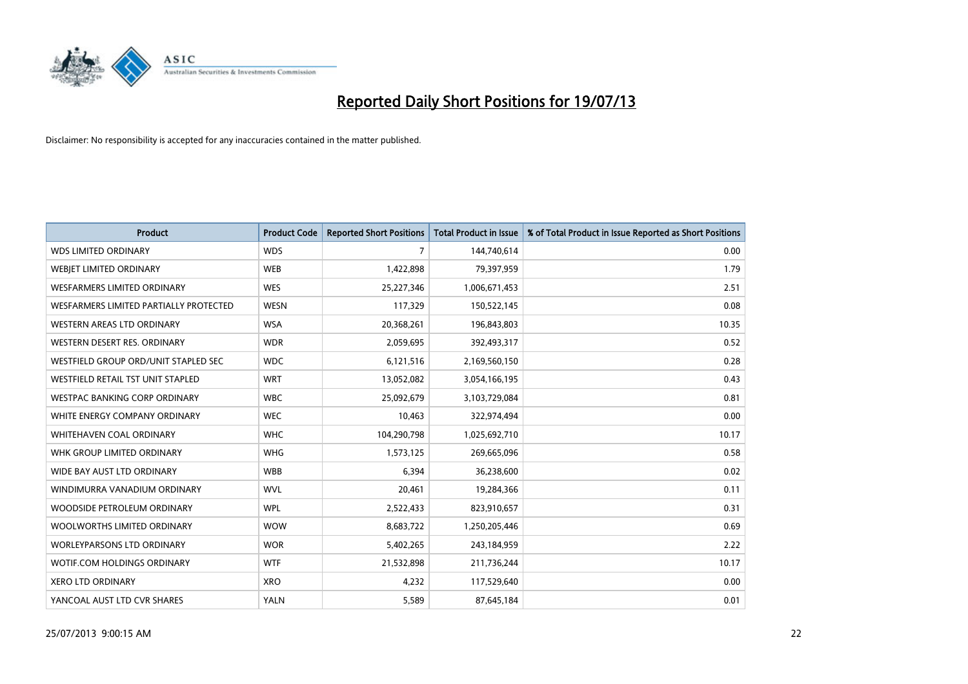

| <b>Product</b>                         | <b>Product Code</b> | <b>Reported Short Positions</b> | <b>Total Product in Issue</b> | % of Total Product in Issue Reported as Short Positions |
|----------------------------------------|---------------------|---------------------------------|-------------------------------|---------------------------------------------------------|
| <b>WDS LIMITED ORDINARY</b>            | <b>WDS</b>          | $\overline{7}$                  | 144,740,614                   | 0.00                                                    |
| WEBJET LIMITED ORDINARY                | <b>WEB</b>          | 1,422,898                       | 79,397,959                    | 1.79                                                    |
| WESFARMERS LIMITED ORDINARY            | <b>WES</b>          | 25,227,346                      | 1,006,671,453                 | 2.51                                                    |
| WESFARMERS LIMITED PARTIALLY PROTECTED | <b>WESN</b>         | 117,329                         | 150,522,145                   | 0.08                                                    |
| WESTERN AREAS LTD ORDINARY             | <b>WSA</b>          | 20,368,261                      | 196,843,803                   | 10.35                                                   |
| WESTERN DESERT RES. ORDINARY           | <b>WDR</b>          | 2,059,695                       | 392,493,317                   | 0.52                                                    |
| WESTFIELD GROUP ORD/UNIT STAPLED SEC   | <b>WDC</b>          | 6,121,516                       | 2,169,560,150                 | 0.28                                                    |
| WESTFIELD RETAIL TST UNIT STAPLED      | <b>WRT</b>          | 13,052,082                      | 3,054,166,195                 | 0.43                                                    |
| <b>WESTPAC BANKING CORP ORDINARY</b>   | <b>WBC</b>          | 25,092,679                      | 3,103,729,084                 | 0.81                                                    |
| WHITE ENERGY COMPANY ORDINARY          | <b>WEC</b>          | 10,463                          | 322,974,494                   | 0.00                                                    |
| WHITEHAVEN COAL ORDINARY               | <b>WHC</b>          | 104,290,798                     | 1,025,692,710                 | 10.17                                                   |
| WHK GROUP LIMITED ORDINARY             | <b>WHG</b>          | 1,573,125                       | 269,665,096                   | 0.58                                                    |
| WIDE BAY AUST LTD ORDINARY             | <b>WBB</b>          | 6,394                           | 36,238,600                    | 0.02                                                    |
| WINDIMURRA VANADIUM ORDINARY           | <b>WVL</b>          | 20,461                          | 19,284,366                    | 0.11                                                    |
| WOODSIDE PETROLEUM ORDINARY            | <b>WPL</b>          | 2,522,433                       | 823,910,657                   | 0.31                                                    |
| WOOLWORTHS LIMITED ORDINARY            | <b>WOW</b>          | 8,683,722                       | 1,250,205,446                 | 0.69                                                    |
| <b>WORLEYPARSONS LTD ORDINARY</b>      | <b>WOR</b>          | 5,402,265                       | 243,184,959                   | 2.22                                                    |
| WOTIF.COM HOLDINGS ORDINARY            | <b>WTF</b>          | 21,532,898                      | 211,736,244                   | 10.17                                                   |
| <b>XERO LTD ORDINARY</b>               | <b>XRO</b>          | 4,232                           | 117,529,640                   | 0.00                                                    |
| YANCOAL AUST LTD CVR SHARES            | <b>YALN</b>         | 5,589                           | 87,645,184                    | 0.01                                                    |